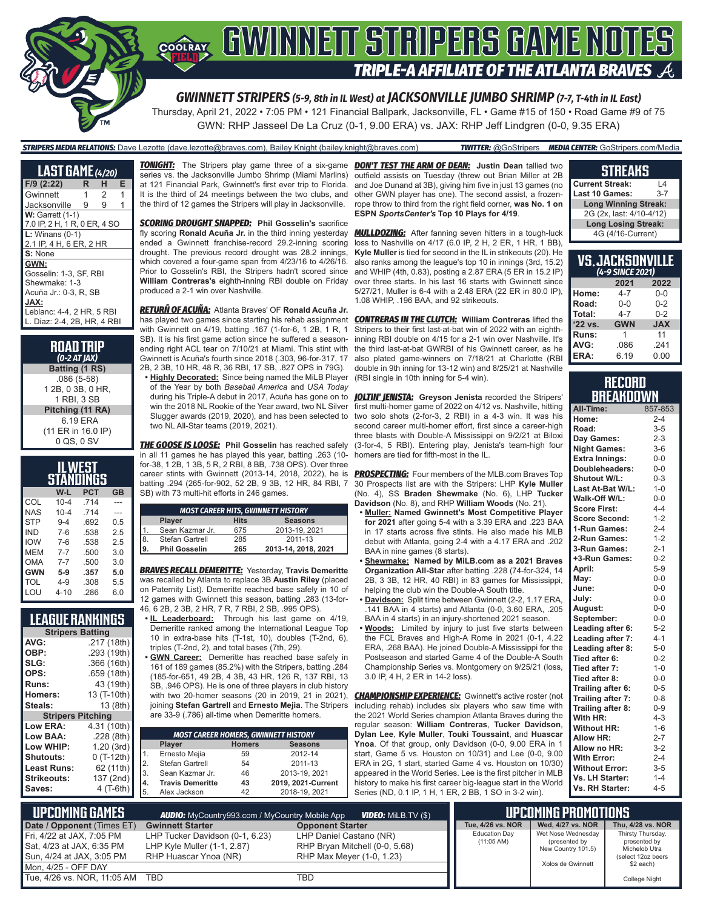

# **COORAY GWINNETT STRIPERS GAME NOTES TRIPLE-A AFFILIATE OF THE ATLANTA BRAVES**

*GWINNETT STRIPERS (5-9, 8th in IL West) at JACKSONVILLE JUMBO SHRIMP (7-7, T-4th in IL East)*

Thursday, April 21, 2022 • 7:05 PM • 121 Financial Ballpark, Jacksonville, FL • Game #15 of 150 • Road Game #9 of 75 GWN: RHP Jasseel De La Cruz (0-1, 9.00 ERA) vs. JAX: RHP Jeff Lindgren (0-0, 9.35 ERA)

### *STRIPERS MEDIA RELATIONS:* Dave Lezotte (dave.lezotte@braves.com), Bailey Knight (bailey.knight@braves.com) *TWITTER:* @GoStripers *MEDIA CENTER:* GoStripers.com/Media

| <b>LAST GAME</b> (4/20)      |   |   |   |  |
|------------------------------|---|---|---|--|
| F/9 (2:22)                   | R | н | Е |  |
| Gwinnett                     | 1 | 2 | 1 |  |
| Jacksonville                 | 9 | 9 |   |  |
| <b>W: Garrett (1-1)</b>      |   |   |   |  |
| 7.0 IP, 2 H, 1 R, 0 ER, 4 SO |   |   |   |  |
| $L:$ Winans $(0-1)$          |   |   |   |  |
| 2.1 IP, 4 H, 6 ER, 2 HR      |   |   |   |  |
| S: None                      |   |   |   |  |
| GWN:                         |   |   |   |  |
| Gosselin: 1-3. SF. RBI       |   |   |   |  |
| Shewmake: 1-3                |   |   |   |  |
| Acuña Jr.: 0-3. R. SB        |   |   |   |  |
| JAX:                         |   |   |   |  |
| Leblanc: 4-4, 2 HR, 5 RBI    |   |   |   |  |
| L. Diaz: 2-4, 2B, HR, 4 RBI  |   |   |   |  |

| <b>ROAD TRIP</b><br>$(0-2 AT JAX)$               |
|--------------------------------------------------|
| Batting (1 RS)                                   |
| $.086(5-58)$<br>1 2B, 0 3B, 0 HR.<br>1 RBI, 3 SB |
| Pitching (11 RA)                                 |
| 6.19 ERA<br>(11 ER in 16.0 IP)<br>0 QS, 0 SV     |

| ILWEST<br>STANDINGS |          |            |           |
|---------------------|----------|------------|-----------|
|                     | W-L      | <b>PCT</b> | <b>GB</b> |
| COL                 | $10 - 4$ | .714       |           |
| <b>NAS</b>          | $10 - 4$ | 714        |           |
| <b>STP</b>          | $9 - 4$  | .692       | 0.5       |
| <b>IND</b>          | $7 - 6$  | .538       | 2.5       |
| <b>IOW</b>          | $7 - 6$  | .538       | 2.5       |
| MEM                 | $7 - 7$  | .500       | 3.0       |
| <b>OMA</b>          | $7 - 7$  | .500       | 3.0       |
| <b>GWN</b>          | 5-9      | .357       | 5.0       |
| TOL                 | 4-9      | .308       | 5.5       |
| LOU                 | $4 - 10$ | .286       | 6.0       |

|  | <b>LEAGUE RANKINGS</b> |  |
|--|------------------------|--|
|  |                        |  |

|                          | <b>Stripers Batting</b> |  |  |
|--------------------------|-------------------------|--|--|
| AVG:                     | .217 (18th)             |  |  |
| OBP:                     | .293 (19th)             |  |  |
| SLG:                     | .366 (16th)             |  |  |
| OPS:                     | .659 (18th)             |  |  |
| Runs:                    | 43 (19th)               |  |  |
| Homers:                  | 13 (T-10th)             |  |  |
| Steals:                  | 13 (8th)                |  |  |
| <b>Stripers Pitching</b> |                         |  |  |
| <b>Low ERA:</b>          | 4.31 (10th)             |  |  |
| Low BAA:                 | .228(8th)               |  |  |
| Low WHIP:                | 1.20(3rd)               |  |  |
| <b>Shutouts:</b>         | $0(T-12th)$             |  |  |
| <b>Least Runs:</b>       | 62 (11th)               |  |  |
| <b>Strikeouts:</b>       | 137 (2nd)               |  |  |
| Saves:                   | 4 (T-6th)               |  |  |

*TONIGHT:* The Stripers play game three of a six-game *DON'T TEST THE ARM OF DEAN:* **Justin Dean** tallied two series vs. the Jacksonville Jumbo Shrimp (Miami Marlins) at 121 Financial Park, Gwinnett's first ever trip to Florida. It is the third of 24 meetings between the two clubs, and the third of 12 games the Stripers will play in Jacksonville.

*SCORING DROUGHT SNAPPED:* **Phil Gosselin's** sacrifice fly scoring **Ronald Acuña Jr.** in the third inning yesterday *MULLDOZING:* After fanning seven hitters in a tough-luck ended a Gwinnett franchise-record 29.2-inning scoring drought. The previous record drought was 28.2 innings, which covered a four-game span from 4/23/16 to 4/26/16. Prior to Gosselin's RBI, the Stripers hadn't scored since William Contreras's eighth-inning RBI double on Friday over three starts. In his last 16 starts with Gwinnett since produced a 2-1 win over Nashville.

*RETURÑ OF ACUÑA:* Atlanta Braves' OF **Ronald Acuña Jr.** has played two games since starting his rehab assignment with Gwinnett on 4/19, batting .167 (1-for-6, 1 2B, 1 R, 1 SB). It is his first game action since he suffered a seasonending right ACL tear on 7/10/21 at Miami. This stint with Gwinnett is Acuña's fourth since 2018 (.303, 96-for-317, 17 2B, 2 3B, 10 HR, 48 R, 36 RBI, 17 SB, .827 OPS in 79G).

**• Highly Decorated:** Since being named the MiLB Player of the Year by both *Baseball America* and *USA Today* win the 2018 NL Rookie of the Year award, two NL Silver two NL All-Star teams (2019, 2021).

*THE GOOSE IS LOOSE:* **Phil Gosselin** has reached safely in all 11 games he has played this year, batting .263 (10 for-38, 1 2B, 1 3B, 5 R, 2 RBI, 8 BB, .738 OPS). Over three career stints with Gwinnett (2013-14, 2018, 2022), he is batting .294 (265-for-902, 52 2B, 9 3B, 12 HR, 84 RBI, 7 SB) with 73 multi-hit efforts in 246 games.

|    | <b>MOST CAREER HITS, GWINNETT HISTORY</b> |             |                     |  |
|----|-------------------------------------------|-------------|---------------------|--|
|    | <b>Player</b>                             | <b>Hits</b> | <b>Seasons</b>      |  |
|    | Sean Kazmar Jr.                           | 675         | 2013-19, 2021       |  |
| 8. | Stefan Gartrell                           | 285         | 2011-13             |  |
| 9. | <b>Phil Gosselin</b>                      | 265         | 2013-14, 2018, 2021 |  |

*BRAVES RECALL DEMERITTE:* Yesterday, **Travis Demeritte** was recalled by Atlanta to replace 3B **Austin Riley** (placed on Paternity List). Demeritte reached base safely in 10 of 12 games with Gwinnett this season, batting .283 (13-for-46, 6 2B, 2 3B, 2 HR, 7 R, 7 RBI, 2 SB, .995 OPS).

**• IL Leaderboard:** Through his last game on 4/19, Demeritte ranked among the International League Top 10 in extra-base hits (T-1st, 10), doubles (T-2nd, 6), triples (T-2nd, 2), and total bases (7th, 29).

**• GWN Career:** Demeritte has reached base safely in 161 of 189 games (85.2%) with the Stripers, batting .284 (185-for-651, 49 2B, 4 3B, 43 HR, 126 R, 137 RBI, 13 SB, .946 OPS). He is one of three players in club history with two 20-homer seasons (20 in 2019, 21 in 2021), joining **Stefan Gartrell** and **Ernesto Mejia**. The Stripers are 33-9 (.786) all-time when Demeritte homers.

|             | <b>MOST CAREER HOMERS, GWINNETT HISTORY</b> |               |                    |  |  |  |
|-------------|---------------------------------------------|---------------|--------------------|--|--|--|
|             | Player                                      | <b>Homers</b> | <b>Seasons</b>     |  |  |  |
| $\mathbf 1$ | Ernesto Mejia                               | 59            | 2012-14            |  |  |  |
| 2.          | Stefan Gartrell                             | 54            | 2011-13            |  |  |  |
| 3.          | Sean Kazmar Jr.                             | 46            | 2013-19, 2021      |  |  |  |
| 4.          | <b>Travis Demeritte</b>                     | 43            | 2019, 2021-Current |  |  |  |
| 5.          | Alex Jackson                                | 42            | 2018-19, 2021      |  |  |  |

outfield assists on Tuesday (threw out Brian Miller at 2B and Joe Dunand at 3B), giving him five in just 13 games (no other GWN player has one). The second assist, a frozenrope throw to third from the right field corner, **was No. 1 on ESPN** *SportsCenter's* **Top 10 Plays for 4/19**.

loss to Nashville on 4/17 (6.0 IP, 2 H, 2 ER, 1 HR, 1 BB), **Kyle Muller** is tied for second in the IL in strikeouts (20). He also ranks among the league's top 10 in innings (3rd, 15.2) and WHIP (4th, 0.83), posting a 2.87 ERA (5 ER in 15.2 IP) 5/27/21, Muller is 6-4 with a 2.48 ERA (22 ER in 80.0 IP), 1.08 WHIP, .196 BAA, and 92 strikeouts.

*CONTRERAS IN THE CLUTCH:* **William Contreras** lifted the Stripers to their first last-at-bat win of 2022 with an eighthinning RBI double on 4/15 for a 2-1 win over Nashville. It's the third last-at-bat GWRBI of his Gwinnett career, as he also plated game-winners on 7/18/21 at Charlotte (RBI double in 9th inning for 13-12 win) and 8/25/21 at Nashville (RBI single in 10th inning for 5-4 win).

during his Triple-A debut in 2017, Acuña has gone on to *JOLTIN' JENISTA:* **Greyson Jenista** recorded the Stripers' Slugger awards (2019, 2020), and has been selected to two solo shots (2-for-3, 2 RBI) in a 4-3 win. It was his first multi-homer game of 2022 on 4/12 vs. Nashville, hitting second career multi-homer effort, first since a career-high three blasts with Double-A Mississippi on 9/2/21 at Biloxi (3-for-4, 5 RBI). Entering play, Jenista's team-high four homers are tied for fifth-most in the IL.

> *PROSPECTING:* Four members of the MLB.com Braves Top 30 Prospects list are with the Stripers: LHP **Kyle Muller** (No. 4), SS **Braden Shewmake** (No. 6), LHP **Tucker Davidson** (No. 8), and RHP **William Woods** (No. 21).

- **• Muller: Named Gwinnett's Most Competitive Player for 2021** after going 5-4 with a 3.39 ERA and .223 BAA in 17 starts across five stints. He also made his MLB debut with Atlanta, going 2-4 with a 4.17 ERA and .202 BAA in nine games (8 starts).
- **• Shewmake: Named by MiLB.com as a 2021 Braves Organization All-Star** after batting .228 (74-for-324, 14 2B, 3 3B, 12 HR, 40 RBI) in 83 games for Mississippi, helping the club win the Double-A South title.
- **• Davidson:** Split time between Gwinnett (2-2, 1.17 ERA, .141 BAA in 4 starts) and Atlanta (0-0, 3.60 ERA, .205 BAA in 4 starts) in an injury-shortened 2021 season.
- **• Woods:** Limited by injury to just five starts between the FCL Braves and High-A Rome in 2021 (0-1, 4.22 ERA, .268 BAA). He joined Double-A Mississippi for the Postseason and started Game 4 of the Double-A South Championship Series vs. Montgomery on 9/25/21 (loss, 3.0 IP, 4 H, 2 ER in 14-2 loss).

**CHAMPIONSHIP EXPERIENCE:** Gwinnett's active roster (not including rehab) includes six players who saw time with the 2021 World Series champion Atlanta Braves during the regular season: **William Contreras**, **Tucker Davidson**, **Dylan Lee**, **Kyle Muller**, **Touki Toussaint**, and **Huascar Ynoa**. Of that group, only Davidson (0-0, 9.00 ERA in 1 start, Game 5 vs. Houston on 10/31) and Lee (0-0, 9.00 ERA in 2G, 1 start, started Game 4 vs. Houston on 10/30) appeared in the World Series. Lee is the first pitcher in MLB history to make his first career big-league start in the World Series (ND, 0.1 IP, 1 H, 1 ER, 2 BB, 1 SO in 3-2 win).

#### **STREAKS**

| <b>Current Streak:</b><br>l 4 |         |  |
|-------------------------------|---------|--|
| Last 10 Games:                | $3 - 7$ |  |
| <b>Long Winning Streak:</b>   |         |  |
| 2G (2x, last: 4/10-4/12)      |         |  |
| <b>Long Losing Streak:</b>    |         |  |
| 4G (4/16-Current)             |         |  |

| <b>VS.JACKSONVILLE</b><br>(4-9 SINCE 2021) |            |            |  |
|--------------------------------------------|------------|------------|--|
|                                            | 2021       | 2022       |  |
| Home:                                      | $4 - 7$    | $0 - 0$    |  |
| Road:                                      | $0 - 0$    | $0 - 2$    |  |
| Total:                                     | $4 - 7$    | $0 - 2$    |  |
| '22 vs.                                    | <b>GWN</b> | <b>JAX</b> |  |
| Runs:                                      | 1          | 11         |  |
| AVG:                                       | .086       | .241       |  |
| ERA:                                       | 6.19       | 0.00       |  |

### **RECORD BREAKDOWN**

| All-Time:             | 857-853 |
|-----------------------|---------|
| Home:                 | $2 - 4$ |
| Road:                 | $3 - 5$ |
| Day Games:            | $2 - 3$ |
| <b>Night Games:</b>   | $3-6$   |
| <b>Extra Innings:</b> | $0 - 0$ |
| Doubleheaders:        | $0 - 0$ |
| <b>Shutout W/L:</b>   | $0 - 3$ |
| Last At-Bat W/L:      | $1 - 0$ |
| Walk-Off W/L:         | $0-0$   |
| <b>Score First:</b>   | $4 - 4$ |
| <b>Score Second:</b>  | $1 - 2$ |
| 1-Run Games:          | $2 - 4$ |
| 2-Run Games:          | $1 - 2$ |
| 3-Run Games:          | $2 - 1$ |
| +3-Run Games:         | $0 - 2$ |
| April:                | $5 - 9$ |
| Mav:                  | $0 - 0$ |
| June:                 | $0-0$   |
| July:                 | $0-0$   |
| August:               | $0-0$   |
| September:            | $0 - 0$ |
| Leading after 6:      | $5 - 2$ |
| Leading after 7:      | $4 - 1$ |
| Leading after 8:      | $5-0$   |
| Tied after 6:         | $0 - 2$ |
| Tied after 7:         | $1 - 0$ |
| Tied after 8:         | $0 - 0$ |
| Trailing after 6:     | $0 - 5$ |
| Trailing after 7:     | $0 - 8$ |
| Trailing after 8:     | $0 - 9$ |
| With HR:              | $4 - 3$ |
| <b>Without HR:</b>    | $1 - 6$ |
| <b>Allow HR:</b>      | $2 - 7$ |
| Allow no HR:          | $3-2$   |
| <b>With Error:</b>    | $2 - 4$ |
| <b>Without Error:</b> | $3-5$   |
| Vs. LH Starter:       | $1 - 4$ |
| Vs. RH Starter:       | $4 - 5$ |

| <b>UPCOMING GAMES</b><br><b>VIDEO:</b> Milb.tv $(\$)$<br><b>AUDIO:</b> MyCountry993.com / MyCountry Mobile App |                                                                                         |                                                                                        | <b>LUPCOMING PROMOTIONS</b>                  |                                                           |                                                                          |
|----------------------------------------------------------------------------------------------------------------|-----------------------------------------------------------------------------------------|----------------------------------------------------------------------------------------|----------------------------------------------|-----------------------------------------------------------|--------------------------------------------------------------------------|
| Date / Opponent (Times ET)                                                                                     | <b>Gwinnett Starter</b>                                                                 | <b>Opponent Starter</b>                                                                | Tue, 4/26 vs. NOR                            | Wed. 4/27 vs. NOR                                         | Thu. 4/28 vs. NOR                                                        |
| Fri, 4/22 at JAX, 7:05 PM<br>Sat, 4/23 at JAX, 6:35 PM<br>▌Sun, 4/24 at JAX, 3:05 PM                           | LHP Tucker Davidson (0-1, 6.23)<br>LHP Kyle Muller (1-1, 2.87)<br>RHP Huascar Ynoa (NR) | LHP Daniel Castano (NR)<br>RHP Bryan Mitchell (0-0, 5.68)<br>RHP Max Mever (1-0, 1.23) | <b>Education Dav</b><br>$(11:05 \text{ AM})$ | Wet Nose Wednesdav<br>(presented by<br>New Country 101.5) | Thirsty Thursday,<br>presented by<br>Michelob Utra<br>(select 12oz beers |
| $M$ Mon. 4/25 - OFF DAY                                                                                        |                                                                                         |                                                                                        |                                              | Xolos de Gwinnett                                         | \$2 each)                                                                |
| Tue, 4/26 vs. NOR, 11:05 AM TBD                                                                                |                                                                                         | TBD                                                                                    |                                              |                                                           | <b>College Night</b>                                                     |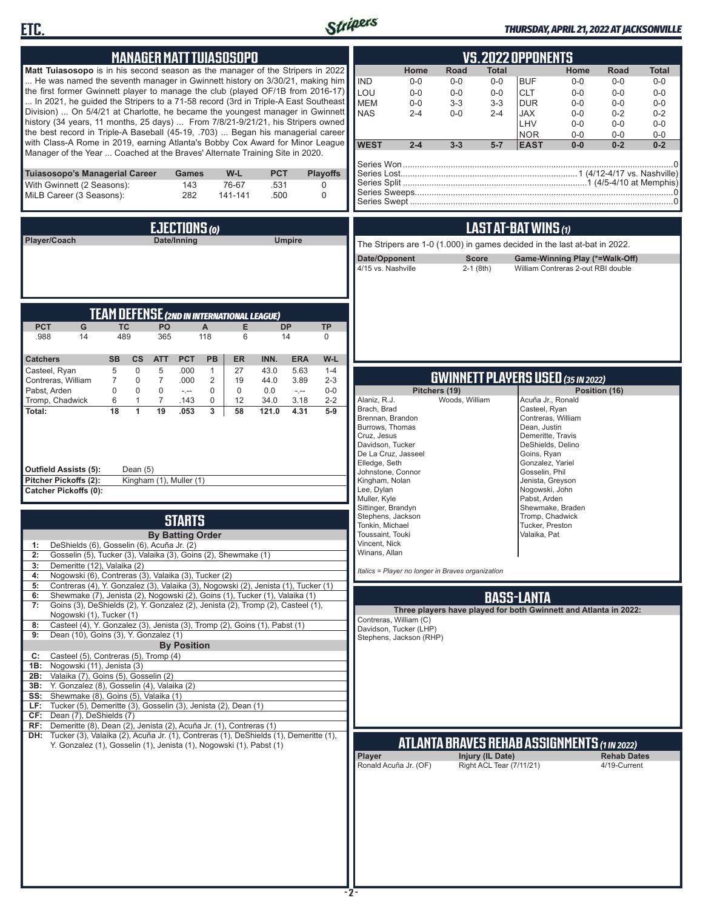



### *THURSDAY, APRIL 21, 2022 AT JACKSONVILLE*

| <b>MANAGER MATT TUIASOSOPO</b>                                                                                                                                                                                                                                                                                                                                                                                                                                                                                                                                                                                                                                                                                                                                       | <b>VS.2022 OPPONENTS</b>                                                                                                                                                                                                                                                                                                                                                                                                                                                                                                                                              |
|----------------------------------------------------------------------------------------------------------------------------------------------------------------------------------------------------------------------------------------------------------------------------------------------------------------------------------------------------------------------------------------------------------------------------------------------------------------------------------------------------------------------------------------------------------------------------------------------------------------------------------------------------------------------------------------------------------------------------------------------------------------------|-----------------------------------------------------------------------------------------------------------------------------------------------------------------------------------------------------------------------------------------------------------------------------------------------------------------------------------------------------------------------------------------------------------------------------------------------------------------------------------------------------------------------------------------------------------------------|
| <b>Matt Tuiasosopo</b> is in his second season as the manager of the Stripers in 2022<br>He was named the seventh manager in Gwinnett history on 3/30/21, making him<br>the first former Gwinnett player to manage the club (played OF/1B from 2016-17)<br>In 2021, he quided the Stripers to a 71-58 record (3rd in Triple-A East Southeast<br>Division)  On 5/4/21 at Charlotte, he became the youngest manager in Gwinnett<br>history (34 years, 11 months, 25 days)  From 7/8/21-9/21/21, his Stripers owned<br>the best record in Triple-A Baseball (45-19, .703)  Began his managerial career<br>with Class-A Rome in 2019, earning Atlanta's Bobby Cox Award for Minor League<br>Manager of the Year  Coached at the Braves' Alternate Training Site in 2020. | Home<br>Road<br>Home<br>Total<br>Road<br>Total<br><b>IND</b><br>$0-0$<br>$0-0$<br>$0-0$<br><b>BUF</b><br>$0-0$<br>$0-0$<br>$0-0$<br>LOU<br>$0-0$<br>$0 - 0$<br>$0-0$<br><b>CLT</b><br>$0 - 0$<br>$0-0$<br>$0 - 0$<br><b>MEM</b><br>$3-3$<br>$3 - 3$<br><b>DUR</b><br>$0-0$<br>$0-0$<br>$0-0$<br>$0-0$<br><b>NAS</b><br>$0 - 0$<br>$2 - 4$<br>$2 - 4$<br>JAX<br>$0-0$<br>$0 - 2$<br>$0 - 2$<br>LHV<br>$0-0$<br>$0-0$<br>$0-0$<br><b>NOR</b><br>$0-0$<br>$0-0$<br>$0 - 0$<br><b>WEST</b><br>$2 - 4$<br>$0 - 2$<br>$3 - 3$<br>$5 - 7$<br><b>EAST</b><br>$0-0$<br>$0 - 2$ |
| Tuiasosopo's Managerial Career<br>W-L<br><b>PCT</b><br><b>Playoffs</b><br>Games<br>76-67<br>With Gwinnett (2 Seasons):<br>143<br>.531<br>0<br>MiLB Career (3 Seasons):<br>282<br>141-141<br>.500<br>$\mathbf 0$                                                                                                                                                                                                                                                                                                                                                                                                                                                                                                                                                      |                                                                                                                                                                                                                                                                                                                                                                                                                                                                                                                                                                       |
| EJECTIONS (0)                                                                                                                                                                                                                                                                                                                                                                                                                                                                                                                                                                                                                                                                                                                                                        | LAST AT-BAT WINS (1)                                                                                                                                                                                                                                                                                                                                                                                                                                                                                                                                                  |
| Date/Inning<br><b>Umpire</b><br>Player/Coach                                                                                                                                                                                                                                                                                                                                                                                                                                                                                                                                                                                                                                                                                                                         | The Stripers are 1-0 (1.000) in games decided in the last at-bat in 2022.                                                                                                                                                                                                                                                                                                                                                                                                                                                                                             |
|                                                                                                                                                                                                                                                                                                                                                                                                                                                                                                                                                                                                                                                                                                                                                                      | Date/Opponent<br><b>Score</b><br>Game-Winning Play (*=Walk-Off)<br>4/15 vs. Nashville<br>$2-1$ (8th)<br>William Contreras 2-out RBI double                                                                                                                                                                                                                                                                                                                                                                                                                            |
| <b>TEAM DEFENSE (2ND IN INTERNATIONAL LEAGUE)</b>                                                                                                                                                                                                                                                                                                                                                                                                                                                                                                                                                                                                                                                                                                                    |                                                                                                                                                                                                                                                                                                                                                                                                                                                                                                                                                                       |
| <b>PCT</b><br><b>TC</b><br>PO<br>A<br><b>DP</b><br>G<br>Е<br><b>TP</b><br>489<br>118<br>.988<br>14<br>365<br>6<br>14<br>$\mathbf 0$<br><b>PCT</b><br>PB<br>W-L<br><b>Catchers</b><br><b>SB</b><br>cs<br><b>ATT</b><br><b>ER</b><br>INN.<br><b>ERA</b>                                                                                                                                                                                                                                                                                                                                                                                                                                                                                                                |                                                                                                                                                                                                                                                                                                                                                                                                                                                                                                                                                                       |
| 5<br>$\mathbf 0$<br>5<br>$\mathbf{1}$<br>27<br>5.63<br>$1 - 4$<br>Casteel, Ryan<br>.000<br>43.0                                                                                                                                                                                                                                                                                                                                                                                                                                                                                                                                                                                                                                                                      | <b>GWINNETT PLAYERS USED (35 IN 2022)</b>                                                                                                                                                                                                                                                                                                                                                                                                                                                                                                                             |
| $\mathbf 0$<br>$\overline{7}$<br>.000<br>$\overline{2}$<br>19<br>44.0<br>3.89<br>$2 - 3$<br>Contreras, William<br>7<br>Pabst, Arden<br>$\mathbf 0$<br>$\mathbf 0$<br>$\mathbf 0$<br>$\mathbf 0$<br>$0-0$<br>0<br>0.0<br>$\sim$<br>$\sim$                                                                                                                                                                                                                                                                                                                                                                                                                                                                                                                             | Pitchers (19)<br>Position (16)                                                                                                                                                                                                                                                                                                                                                                                                                                                                                                                                        |
| Tromp, Chadwick<br>$\mathbf{1}$<br>$\overline{7}$<br>0<br>12<br>34.0<br>3.18<br>$2 - 2$<br>6<br>.143<br>18<br>$\mathbf{1}$<br>19<br>3<br>4.31<br>Total:<br>.053<br>58<br>121.0<br>$5-9$<br><b>Outfield Assists (5):</b><br>Dean $(5)$<br>Pitcher Pickoffs (2):<br>Kingham (1), Muller (1)<br>Catcher Pickoffs (0):                                                                                                                                                                                                                                                                                                                                                                                                                                                   | Alaniz, R.J.<br>Woods, William<br>Acuña Jr., Ronald<br>Brach, Brad<br>Casteel, Ryan<br>Brennan, Brandon<br>Contreras, William<br>Burrows, Thomas<br>Dean, Justin<br>Cruz, Jesus<br>Demeritte, Travis<br>Davidson, Tucker<br>DeShields, Delino<br>De La Cruz, Jasseel<br>Goins, Ryan<br>Elledge, Seth<br>Gonzalez, Yariel<br>Johnstone, Connor<br>Gosselin, Phil<br>Kingham, Nolan<br>Jenista, Greyson<br>Lee, Dylan<br>Nogowski, John<br>Muller, Kyle<br>Pabst, Arden                                                                                                 |
| <b>STARTS</b>                                                                                                                                                                                                                                                                                                                                                                                                                                                                                                                                                                                                                                                                                                                                                        | Sittinger, Brandyn<br>Shewmake, Braden<br>Stephens, Jackson<br>Tromp, Chadwick                                                                                                                                                                                                                                                                                                                                                                                                                                                                                        |
| <b>By Batting Order</b><br>DeShields (6), Gosselin (6), Acuña Jr. (2)<br>1:<br>2: Gosselin (5), Tucker (3), Valaika (3), Goins (2), Shewmake (1)<br>Demeritte (12), Valaika (2)<br>3:<br>Nogowski (6), Contreras (3), Valaika (3), Tucker (2)<br>4:                                                                                                                                                                                                                                                                                                                                                                                                                                                                                                                  | Tonkin, Michael<br>Tucker, Preston<br>Toussaint, Touki<br>Valaika, Pat<br>Vincent, Nick<br>Winans, Allan<br>Italics = Player no longer in Braves organization                                                                                                                                                                                                                                                                                                                                                                                                         |
| Contreras (4), Y. Gonzalez (3), Valaika (3), Nogowski (2), Jenista (1), Tucker (1)<br>5:<br>Shewmake (7), Jenista (2), Nogowski (2), Goins (1), Tucker (1), Valaika (1)<br>6:                                                                                                                                                                                                                                                                                                                                                                                                                                                                                                                                                                                        |                                                                                                                                                                                                                                                                                                                                                                                                                                                                                                                                                                       |
| Goins (3), DeShields (2), Y. Gonzalez (2), Jenista (2), Tromp (2), Casteel (1),<br>7:                                                                                                                                                                                                                                                                                                                                                                                                                                                                                                                                                                                                                                                                                | <b>BASS-LANTA</b><br>Three players have played for both Gwinnett and Atlanta in 2022:                                                                                                                                                                                                                                                                                                                                                                                                                                                                                 |
| Nogowski (1), Tucker (1)<br>Casteel (4), Y. Gonzalez (3), Jenista (3), Tromp (2), Goins (1), Pabst (1)<br>8:<br>Dean (10), Goins (3), Y. Gonzalez (1)<br>9:<br><b>By Position</b>                                                                                                                                                                                                                                                                                                                                                                                                                                                                                                                                                                                    | Contreras, William (C)<br>Davidson, Tucker (LHP)<br>Stephens, Jackson (RHP)                                                                                                                                                                                                                                                                                                                                                                                                                                                                                           |
| Casteel (5), Contreras (5), Tromp (4)<br>C:<br>Nogowski (11), Jenista (3)<br>1B:<br>2B: Valaika (7), Goins (5), Gosselin (2)<br>3B: Y. Gonzalez (8), Gosselin (4), Valaika (2)<br>SS: Shewmake (8), Goins (5), Valaika (1)<br>LF: Tucker (5), Demeritte (3), Gosselin (3), Jenista (2), Dean (1)<br>CF: Dean (7), DeShields (7)                                                                                                                                                                                                                                                                                                                                                                                                                                      |                                                                                                                                                                                                                                                                                                                                                                                                                                                                                                                                                                       |
| RF: Demeritte (8), Dean (2), Jenista (2), Acuña Jr. (1), Contreras (1)                                                                                                                                                                                                                                                                                                                                                                                                                                                                                                                                                                                                                                                                                               |                                                                                                                                                                                                                                                                                                                                                                                                                                                                                                                                                                       |
| DH: Tucker (3), Valaika (2), Acuña Jr. (1), Contreras (1), DeShields (1), Demeritte (1),<br>Y. Gonzalez (1), Gosselin (1), Jenista (1), Nogowski (1), Pabst (1)                                                                                                                                                                                                                                                                                                                                                                                                                                                                                                                                                                                                      | <b>ATLANTA BRAVES REHAB ASSIGNMENTS (1 IN 2022)</b>                                                                                                                                                                                                                                                                                                                                                                                                                                                                                                                   |
|                                                                                                                                                                                                                                                                                                                                                                                                                                                                                                                                                                                                                                                                                                                                                                      | Player<br>Injury (IL Date)<br><b>Rehab Dates</b><br>Right ACL Tear (7/11/21)<br>Ronald Acuña Jr. (OF)<br>4/19-Current                                                                                                                                                                                                                                                                                                                                                                                                                                                 |
|                                                                                                                                                                                                                                                                                                                                                                                                                                                                                                                                                                                                                                                                                                                                                                      |                                                                                                                                                                                                                                                                                                                                                                                                                                                                                                                                                                       |
|                                                                                                                                                                                                                                                                                                                                                                                                                                                                                                                                                                                                                                                                                                                                                                      | -2-                                                                                                                                                                                                                                                                                                                                                                                                                                                                                                                                                                   |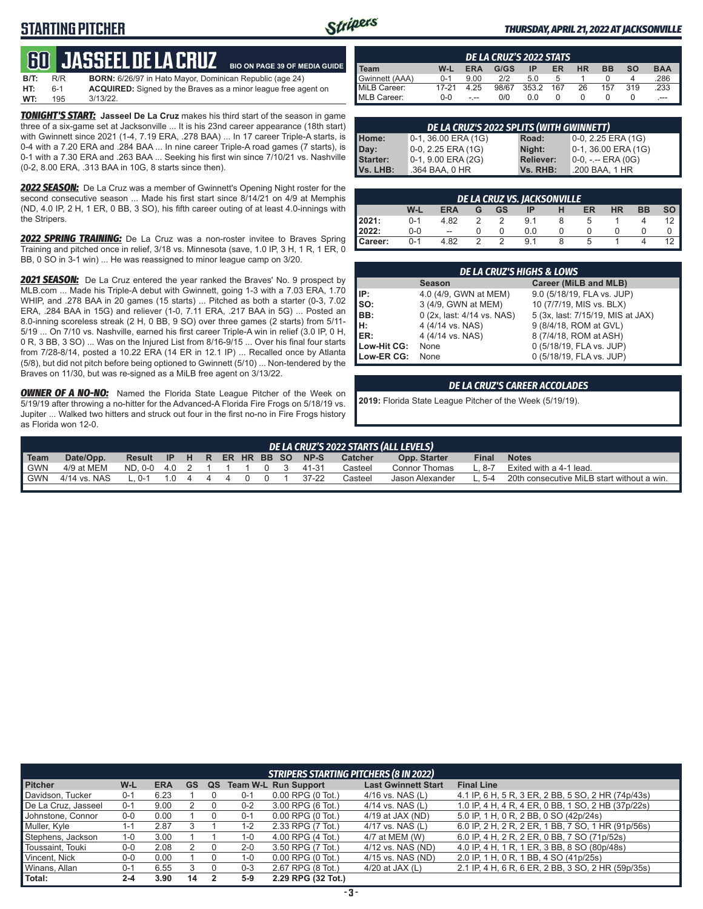## **STARTING PITCHER**



**BIO ON PAGE 39 OF MEDIA GUIDE**

#### *THURSDAY, APRIL 21, 2022 AT JACKSONVILLE*

## **60****Jasseel de la cruz**

| $B/T$ : | R/R   | <b>BORN:</b> 6/26/97 in Hato Mayor, Dominican Republic (age 24)       |
|---------|-------|-----------------------------------------------------------------------|
| HT:     | $6-1$ | <b>ACQUIRED:</b> Signed by the Braves as a minor league free agent on |
| WT:     | 195   | $3/13/22$ .                                                           |

**TONIGHT'S START:** Jasseel De La Cruz makes his third start of the season in game three of a six-game set at Jacksonville ... It is his 23nd career appearance (18th start) with Gwinnett since 2021 (1-4, 7.19 ERA, .278 BAA) ... In 17 career Triple-A starts, is 0-4 with a 7.20 ERA and .284 BAA ... In nine career Triple-A road games (7 starts), is 0-1 with a 7.30 ERA and .263 BAA ... Seeking his first win since 7/10/21 vs. Nashville (0-2, 8.00 ERA, .313 BAA in 10G, 8 starts since then).

*2022 SEASON:* De La Cruz was a member of Gwinnett's Opening Night roster for the second consecutive season ... Made his first start since 8/14/21 on 4/9 at Memphis (ND, 4.0 IP, 2 H, 1 ER, 0 BB, 3 SO), his fifth career outing of at least 4.0-innings with the Stripers.

*2022 SPRING TRAINING:* De La Cruz was a non-roster invitee to Braves Spring Training and pitched once in relief, 3/18 vs. Minnesota (save, 1.0 IP, 3 H, 1 R, 1 ER, 0 BB, 0 SO in 3-1 win) ... He was reassigned to minor league camp on 3/20.

*2021 SEASON:* De La Cruz entered the year ranked the Braves' No. 9 prospect by MLB.com ... Made his Triple-A debut with Gwinnett, going 1-3 with a 7.03 ERA, 1.70 WHIP, and .278 BAA in 20 games (15 starts) ... Pitched as both a starter (0-3, 7.02 ERA, .284 BAA in 15G) and reliever (1-0, 7.11 ERA, .217 BAA in 5G) ... Posted an 8.0-inning scoreless streak (2 H, 0 BB, 9 SO) over three games (2 starts) from 5/11- 5/19 ... On 7/10 vs. Nashville, earned his first career Triple-A win in relief (3.0 IP, 0 H, 0 R, 3 BB, 3 SO) ... Was on the Injured List from 8/16-9/15 ... Over his final four starts from 7/28-8/14, posted a 10.22 ERA (14 ER in 12.1 IP) ... Recalled once by Atlanta (5/8), but did not pitch before being optioned to Gwinnett (5/10) ... Non-tendered by the Braves on 11/30, but was re-signed as a MiLB free agent on 3/13/22.

**OWNER OF A NO-NO:** Named the Florida State League Pitcher of the Week on 5/19/19 after throwing a no-hitter for the Advanced-A Florida Fire Frogs on 5/18/19 vs. Jupiter ... Walked two hitters and struck out four in the first no-no in Fire Frogs history as Florida won 12-0.

| DE LA CRUZ'S 2022 STATS |         |            |       |       |     |           |           |           |            |
|-------------------------|---------|------------|-------|-------|-----|-----------|-----------|-----------|------------|
| I Team                  | W-L     | <b>ERA</b> | G/GS  | ΙP    | ER  | <b>HR</b> | <b>BB</b> | <b>SO</b> | <b>BAA</b> |
| Gwinnett (AAA)          | $0 - 1$ | 9.00       | 2/2   | 5.0   |     |           |           |           | 286        |
| MiLB Career:            | 17-21   | 4.25       | 98/67 | 353.2 | 167 | 26        | 157       | 319       | .233       |
| <b>IMLB Career:</b>     | $0 - 0$ | - --       | 0/0   | 0.0   |     |           |           |           | $---$      |

|                  | DE LA CRUZ'S 2022 SPLITS (WITH GWINNETT) |                  |                        |  |  |  |  |  |  |
|------------------|------------------------------------------|------------------|------------------------|--|--|--|--|--|--|
| Home:            | $0-1, 36.00$ ERA (1G)                    | Road:            | 0-0, 2.25 ERA (1G)     |  |  |  |  |  |  |
| Day:<br>Starter: | 0-0, 2.25 ERA (1G)                       | Night:           | $0-1$ , 36.00 ERA (1G) |  |  |  |  |  |  |
|                  | 0-1, 9.00 ERA (2G)                       | <b>Reliever:</b> | 0-0, -.-- ERA (0G)     |  |  |  |  |  |  |
| Vs. LHB:         | .364 BAA, 0 HR                           | Vs. RHB:         | .200 BAA, 1 HR         |  |  |  |  |  |  |

| DE LA CRUZ VS. JACKSONVILLE |         |                          |   |    |     |  |    |           |           |      |
|-----------------------------|---------|--------------------------|---|----|-----|--|----|-----------|-----------|------|
|                             | W-L     | <b>ERA</b>               |   | GS | ΙP  |  | ER | <b>HR</b> | <b>BB</b> | so I |
| 12021:                      | $0 - 1$ | 4.82                     |   |    | 9.1 |  |    |           |           |      |
| 2022:                       | 0-0     | $\overline{\phantom{a}}$ |   |    | 0.0 |  |    |           |           |      |
| Career:                     | $0 - 1$ | 4.82                     | っ |    | 9.1 |  | 5  |           |           |      |

| <b>DE LA CRUZ'S HIGHS &amp; LOWS</b> |                            |                                   |  |  |  |  |  |  |
|--------------------------------------|----------------------------|-----------------------------------|--|--|--|--|--|--|
|                                      | <b>Season</b>              | Career (MiLB and MLB)             |  |  |  |  |  |  |
| IP:                                  | 4.0 (4/9, GWN at MEM)      | 9.0 (5/18/19, FLA vs. JUP)        |  |  |  |  |  |  |
| Iso:                                 | 3 (4/9, GWN at MEM)        | 10 (7/7/19, MIS vs. BLX)          |  |  |  |  |  |  |
| BB:                                  | 0 (2x, last: 4/14 vs. NAS) | 5 (3x, last: 7/15/19, MIS at JAX) |  |  |  |  |  |  |
| IH:                                  | 4 (4/14 vs. NAS)           | 9 (8/4/18, ROM at GVL)            |  |  |  |  |  |  |
| ER:                                  | 4 (4/14 vs. NAS)           | 8 (7/4/18, ROM at ASH)            |  |  |  |  |  |  |
| Low-Hit CG:                          | None                       | 0 (5/18/19, FLA vs. JUP)          |  |  |  |  |  |  |
| Low-ER CG:                           | None                       | 0 (5/18/19, FLA vs. JUP)          |  |  |  |  |  |  |

#### *DE LA CRUZ'S CAREER ACCOLADES*

**2019:** Florida State League Pitcher of the Week (5/19/19).

|            | DE LA CRUZ'S 2022 STARTS (ALL LEVELS) |                                |        |  |  |   |  |             |  |           |         |                 |              |                                            |
|------------|---------------------------------------|--------------------------------|--------|--|--|---|--|-------------|--|-----------|---------|-----------------|--------------|--------------------------------------------|
| Team       | Date/Opp.                             | Result IP H R ER HR BB SO NP-S |        |  |  |   |  |             |  |           | Catcher | Opp. Starter    | <b>Final</b> | <b>Notes</b>                               |
| <b>GWN</b> | 4/9 at MEM                            | ND.0-0 4.0 2 1 1 1 0 3         |        |  |  |   |  |             |  | 41-31     | Casteel | Connor Thomas   | - 8-7        | Exited with a 4-1 lead.                    |
| GWN        | 4/14 vs. NAS                          | $L.0-1$                        | 10 4 4 |  |  | 4 |  | $0 \quad 0$ |  | $37 - 22$ | Casteel | Jason Alexander | L. 5-4       | 20th consecutive MiLB start without a win. |
|            |                                       |                                |        |  |  |   |  |             |  |           |         |                 |              |                                            |

|                     | <b>STRIPERS STARTING PITCHERS (8 IN 2022)</b> |            |    |    |         |                             |                            |                                                    |  |  |
|---------------------|-----------------------------------------------|------------|----|----|---------|-----------------------------|----------------------------|----------------------------------------------------|--|--|
| <b>Pitcher</b>      | W-L                                           | <b>ERA</b> | GS | QS |         | <b>Team W-L Run Support</b> | <b>Last Gwinnett Start</b> | <b>Final Line</b>                                  |  |  |
| Davidson, Tucker    | $0 - 1$                                       | 6.23       |    |    | 0-1     | $0.00$ RPG $(0$ Tot.)       | $4/16$ vs. NAS (L)         | 4.1 IP, 6 H, 5 R, 3 ER, 2 BB, 5 SO, 2 HR (74p/43s) |  |  |
| De La Cruz, Jasseel | $0 - 1$                                       | 9.00       |    |    | $0 - 2$ | 3.00 RPG (6 Tot.)           | $4/14$ vs. NAS (L)         | 1.0 IP, 4 H, 4 R, 4 ER, 0 BB, 1 SO, 2 HB (37p/22s) |  |  |
| Johnstone, Connor   | 0-0                                           | 0.00       |    |    | 0-1     | $0.00$ RPG $(0)$ Tot.)      | $4/19$ at JAX (ND)         | 5.0 IP, 1 H, 0 R, 2 BB, 0 SO (42p/24s)             |  |  |
| Muller, Kyle        | 1-1                                           | 2.87       |    |    | 1-2     | 2.33 RPG (7 Tot.)           | $4/17$ vs. NAS (L)         | 6.0 IP, 2 H, 2 R, 2 ER, 1 BB, 7 SO, 1 HR (91p/56s) |  |  |
| Stephens, Jackson   | 1-0                                           | 3.00       |    |    | 1-0     | 4.00 RPG (4 Tot.)           | 4/7 at MEM (W)             | 6.0 IP, 4 H, 2 R, 2 ER, 0 BB, 7 SO (71p/52s)       |  |  |
| Toussaint, Touki    | $0 - 0$                                       | 2.08       |    |    | $2 - 0$ | 3.50 RPG (7 Tot.)           | 4/12 vs. NAS (ND)          | 4.0 IP, 4 H, 1 R, 1 ER, 3 BB, 8 SO (80p/48s)       |  |  |
| Vincent, Nick       | $0-0$                                         | 0.00       |    |    | $1 - 0$ | $0.00$ RPG $(0$ Tot.)       | 4/15 vs. NAS (ND)          | 2.0 IP, 1 H, 0 R, 1 BB, 4 SO (41p/25s)             |  |  |
| Winans, Allan       | $0 - 1$                                       | 6.55       |    |    | $0 - 3$ | 2.67 RPG (8 Tot.)           | 4/20 at JAX $(L)$          | 2.1 IP, 4 H, 6 R, 6 ER, 2 BB, 3 SO, 2 HR (59p/35s) |  |  |
| Total:              | $2 - 4$                                       | 3.90       | 14 |    | $5-9$   | 2.29 RPG (32 Tot.)          |                            |                                                    |  |  |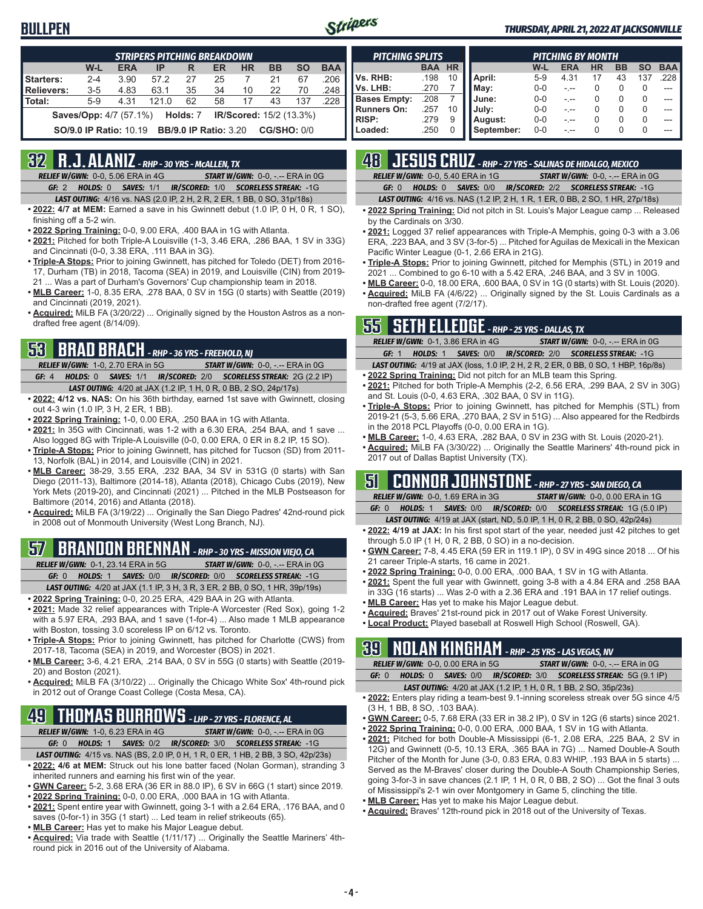### **BULLPEN**



#### *THURSDAY, APRIL 21, 2022 AT JACKSONVILLE*

| <b>STRIPERS PITCHING BREAKDOWN</b>                                    |                                                                                     |            |       |    |           |           |           |           |            |  |
|-----------------------------------------------------------------------|-------------------------------------------------------------------------------------|------------|-------|----|-----------|-----------|-----------|-----------|------------|--|
|                                                                       | W-L                                                                                 | <b>ERA</b> | IP    | R  | <b>ER</b> | <b>HR</b> | <b>BB</b> | <b>SO</b> | <b>BAA</b> |  |
| Starters:                                                             | $2 - 4$                                                                             | 3.90       | 57.2  | 27 | 25        |           | 21        | 67        | .206       |  |
| Relievers:                                                            | $3 - 5$                                                                             | 4.83       | 63.1  | 35 | 34        | 10        | 22        | 70        | .248       |  |
| Total:                                                                | $5-9$                                                                               | 4.31       | 121.0 | 62 | 58        | 17        | 43        | 137       | .228       |  |
| <b>Saves/Opp:</b> 4/7 (57.1%) <b>Holds: 7 IR/Scored:</b> 15/2 (13.3%) |                                                                                     |            |       |    |           |           |           |           |            |  |
|                                                                       | <b>CG/SHO: 0/0</b><br><b>BB/9.0 IP Ratio: 3.20</b><br><b>SO/9.0 IP Ratio: 10.19</b> |            |       |    |           |           |           |           |            |  |

### **32 R.J. ALANIZ** *- RHP - 30 YRS - McALLEN, TX*

*RELIEF W/GWN:*0-0, 5.06 ERA in 4G *START W/GWN:*0-0, -.-- ERA in 0G *GF:*2 *HOLDS:*0 *SAVES:*1/1 *IR/SCORED:*1/0 *SCORELESS STREAK:*-1G

- *LAST OUTING:*4/16 vs. NAS (2.0 IP, 2 H, 2 R, 2 ER, 1 BB, 0 SO, 31p/18s)
- **• 2022: 4/7 at MEM:** Earned a save in his Gwinnett debut (1.0 IP, 0 H, 0 R, 1 SO), finishing off a 5-2 win.
- **• 2022 Spring Training:** 0-0, 9.00 ERA, .400 BAA in 1G with Atlanta.
- **• 2021:** Pitched for both Triple-A Louisville (1-3, 3.46 ERA, .286 BAA, 1 SV in 33G) and Cincinnati (0-0, 3.38 ERA, .111 BAA in 3G).
- **• Triple-A Stops:** Prior to joining Gwinnett, has pitched for Toledo (DET) from 2016- 17, Durham (TB) in 2018, Tacoma (SEA) in 2019, and Louisville (CIN) from 2019- 21 ... Was a part of Durham's Governors' Cup championship team in 2018.
- **• MLB Career:** 1-0, 8.35 ERA, .278 BAA, 0 SV in 15G (0 starts) with Seattle (2019) and Cincinnati (2019, 2021).
- **• Acquired:** MiLB FA (3/20/22) ... Originally signed by the Houston Astros as a nondrafted free agent (8/14/09).

## **53 BRAD BRACH** *- RHP - 36 YRS - FREEHOLD, NJ*

*RELIEF W/GWN:*1-0, 2.70 ERA in 5G *START W/GWN:*0-0, -.-- ERA in 0G *GF:*4 *HOLDS:*0 *SAVES:*1/1 *IR/SCORED:*2/0 *SCORELESS STREAK:*2G (2.2 IP)

- *LAST OUTING:*4/20 at JAX (1.2 IP, 1 H, 0 R, 0 BB, 2 SO, 24p/17s)
- **• 2022: 4/12 vs. NAS:** On his 36th birthday, earned 1st save with Gwinnett, closing out 4-3 win (1.0 IP, 3 H, 2 ER, 1 BB).
- **• 2022 Spring Training:** 1-0, 0.00 ERA, .250 BAA in 1G with Atlanta.
- **• 2021:** In 35G with Cincinnati, was 1-2 with a 6.30 ERA, .254 BAA, and 1 save ... Also logged 8G with Triple-A Louisville (0-0, 0.00 ERA, 0 ER in 8.2 IP, 15 SO).
- **• Triple-A Stops:** Prior to joining Gwinnett, has pitched for Tucson (SD) from 2011- 13, Norfolk (BAL) in 2014, and Louisville (CIN) in 2021.
- **• MLB Career:** 38-29, 3.55 ERA, .232 BAA, 34 SV in 531G (0 starts) with San Diego (2011-13), Baltimore (2014-18), Atlanta (2018), Chicago Cubs (2019), New York Mets (2019-20), and Cincinnati (2021) ... Pitched in the MLB Postseason for Baltimore (2014, 2016) and Atlanta (2018).
- **• Acquired:** MiLB FA (3/19/22) ... Originally the San Diego Padres' 42nd-round pick in 2008 out of Monmouth University (West Long Branch, NJ).

## **57 BRANDON BRENNAN** *- RHP - 30 YRS - MISSION VIEJO, CA*

*RELIEF W/GWN:*0-1, 23.14 ERA in 5G *START W/GWN:*0-0, -.-- ERA in 0G

*GF:*0 *HOLDS:*1 *SAVES:*0/0 *IR/SCORED:*0/0 *SCORELESS STREAK:*-1G *LAST OUTING:*4/20 at JAX (1.1 IP, 3 H, 3 R, 3 ER, 2 BB, 0 SO, 1 HR, 39p/19s)

- **• 2022 Spring Training:** 0-0, 20.25 ERA, .429 BAA in 2G with Atlanta.
- **• 2021:** Made 32 relief appearances with Triple-A Worcester (Red Sox), going 1-2 with a 5.97 ERA, .293 BAA, and 1 save (1-for-4) ... Also made 1 MLB appearance with Boston, tossing 3.0 scoreless IP on 6/12 vs. Toronto.
- **• Triple-A Stops:** Prior to joining Gwinnett, has pitched for Charlotte (CWS) from 2017-18, Tacoma (SEA) in 2019, and Worcester (BOS) in 2021.
- **• MLB Career:** 3-6, 4.21 ERA, .214 BAA, 0 SV in 55G (0 starts) with Seattle (2019- 20) and Boston (2021).
- **• Acquired:** MiLB FA (3/10/22) ... Originally the Chicago White Sox' 4th-round pick in 2012 out of Orange Coast College (Costa Mesa, CA).

## **49 THOMAS BURROWS** *- LHP - 27 YRS - FLORENCE, AL*

*RELIEF W/GWN:*1-0, 6.23 ERA in 4G *START W/GWN:*0-0, -.-- ERA in 0G

- *GF:*0 *HOLDS:*1 *SAVES:*0/2 *IR/SCORED:*3/0 *SCORELESS STREAK:*-1G *LAST OUTING:*4/15 vs. NAS (BS, 2.0 IP, 0 H, 1 R, 0 ER, 1 HB, 2 BB, 3 SO, 42p/23s)
- **• 2022: 4/6 at MEM:** Struck out his lone batter faced (Nolan Gorman), stranding 3 inherited runners and earning his first win of the year.
- **• GWN Career:** 5-2, 3.68 ERA (36 ER in 88.0 IP), 6 SV in 66G (1 start) since 2019.
- **• 2022 Spring Training:** 0-0, 0.00 ERA, .000 BAA in 1G with Atlanta.
- **• 2021:** Spent entire year with Gwinnett, going 3-1 with a 2.64 ERA, .176 BAA, and 0 saves (0-for-1) in 35G (1 start) ... Led team in relief strikeouts (65).
- **• MLB Career:** Has yet to make his Major League debut.
- **• Acquired:** Via trade with Seattle (1/11/17) ... Originally the Seattle Mariners' 4thround pick in 2016 out of the University of Alabama.

| <b>PITCHING SPLITS</b> |            |           | PITCHING BY MONTH |         |            |           |           |          |            |  |  |
|------------------------|------------|-----------|-------------------|---------|------------|-----------|-----------|----------|------------|--|--|
|                        | <b>BAA</b> | <b>HR</b> |                   | W-L     | <b>ERA</b> | <b>HR</b> | <b>BB</b> | SΟ       | <b>BAA</b> |  |  |
| Vs. RHB:               | .198       | 10        | April:            | $5-9$   | 4.31       | 17        | 43        | 137      | .228       |  |  |
| Vs. LHB:               | .270       |           | May:              | $0 - 0$ |            | 0         |           | 0        | ---        |  |  |
| <b>Bases Empty:</b>    | .208       |           | June:             | $0 - 0$ |            | 0         |           | 0        | ---        |  |  |
| <b>Runners On:</b>     | .257       | 10        | July:             | $0 - 0$ |            | 0         | O         | $\Omega$ |            |  |  |
| <b>RISP:</b>           | .279       | 9         | August:           | $0 - 0$ |            | O         | 0         | $\Omega$ |            |  |  |
| Loaded:                | .250       | 0         | September:        | $0 - 0$ |            |           |           | U        |            |  |  |

## **48 JESUS CRUZ** *- RHP - 27 YRS - SALINAS DE HIDALGO, MEXICO*

|  | <b>RELIEF W/GWN: 0-0, 5.40 ERA in 1G</b> | <b>START W/GWN: 0-0, -.-- ERA in 0G</b>                        |
|--|------------------------------------------|----------------------------------------------------------------|
|  |                                          | GF: 0 HOLDS: 0 SAVES: 0/0 IR/SCORED: 2/2 SCORELESS STREAK: -1G |

*LAST OUTING:*4/16 vs. NAS (1.2 IP, 2 H, 1 R, 1 ER, 0 BB, 2 SO, 1 HR, 27p/18s)

- **• 2022 Spring Training:** Did not pitch in St. Louis's Major League camp ... Released by the Cardinals on 3/30.
- **• 2021:** Logged 37 relief appearances with Triple-A Memphis, going 0-3 with a 3.06 ERA, .223 BAA, and 3 SV (3-for-5) ... Pitched for Aguilas de Mexicali in the Mexican Pacific Winter League (0-1, 2.66 ERA in 21G).
- **• Triple-A Stops:** Prior to joining Gwinnett, pitched for Memphis (STL) in 2019 and 2021 ... Combined to go 6-10 with a 5.42 ERA, .246 BAA, and 3 SV in 100G.
- **• MLB Career:** 0-0, 18.00 ERA, .600 BAA, 0 SV in 1G (0 starts) with St. Louis (2020). **• Acquired:** MiLB FA (4/6/22) ... Originally signed by the St. Louis Cardinals as a non-drafted free agent (7/2/17).

### **55 SETH ELLEDGE** *- RHP - 25 YRS - DALLAS, TX*

| <b>RELIEF W/GWN: 0-1, 3.86 ERA in 4G</b> | <b>START W/GWN: 0-0, -.-- ERA in 0G</b>                                                   |  |  |  |  |  |
|------------------------------------------|-------------------------------------------------------------------------------------------|--|--|--|--|--|
| GF: 1                                    | <b>HOLDS: 1 SAVES: 0/0 IR/SCORED: 2/0 SCORELESS STREAK: -1G</b>                           |  |  |  |  |  |
|                                          | <b>LAST OUTING:</b> 4/19 at JAX (loss, 1.0 IP, 2 H, 2 R, 2 ER, 0 BB, 0 SO, 1 HBP, 16p/8s) |  |  |  |  |  |

- **• 2022 Spring Training:** Did not pitch for an MLB team this Spring. **• 2021:** Pitched for both Triple-A Memphis (2-2, 6.56 ERA, .299 BAA, 2 SV in 30G) and St. Louis (0-0, 4.63 ERA, .302 BAA, 0 SV in 11G).
- **• Triple-A Stops:** Prior to joining Gwinnett, has pitched for Memphis (STL) from 2019-21 (5-3, 5.66 ERA, .270 BAA, 2 SV in 51G) ... Also appeared for the Redbirds in the 2018 PCL Playoffs (0-0, 0.00 ERA in 1G).
- **• MLB Career:** 1-0, 4.63 ERA, .282 BAA, 0 SV in 23G with St. Louis (2020-21).
- **• Acquired:** MiLB FA (3/30/22) ... Originally the Seattle Mariners' 4th-round pick in 2017 out of Dallas Baptist University (TX).

## **51 CONNOR JOHNSTONE** *- RHP - 27 YRS - SAN DIEGO, CA*

*RELIEF W/GWN:*0-0, 1.69 ERA in 3G *START W/GWN:*0-0, 0.00 ERA in 1G *GF:*0 *HOLDS:*1 *SAVES:*0/0 *IR/SCORED:*0/0 *SCORELESS STREAK:*1G (5.0 IP)

*LAST OUTING:*4/19 at JAX (start, ND, 5.0 IP, 1 H, 0 R, 2 BB, 0 SO, 42p/24s)

- **• 2022: 4/19 at JAX:** In his first spot start of the year, needed just 42 pitches to get through 5.0 IP (1 H, 0 R, 2 BB, 0 SO) in a no-decision.
- **• GWN Career:** 7-8, 4.45 ERA (59 ER in 119.1 IP), 0 SV in 49G since 2018 ... Of his 21 career Triple-A starts, 16 came in 2021.
- **• 2022 Spring Training:** 0-0, 0.00 ERA, .000 BAA, 1 SV in 1G with Atlanta.
- **• 2021:** Spent the full year with Gwinnett, going 3-8 with a 4.84 ERA and .258 BAA in 33G (16 starts) ... Was 2-0 with a 2.36 ERA and .191 BAA in 17 relief outings.
- **• MLB Career:** Has yet to make his Major League debut.
- **• Acquired:** Braves' 21st-round pick in 2017 out of Wake Forest University.
- **• Local Product:** Played baseball at Roswell High School (Roswell, GA).

### **39 NOLAN KINGHAM** *- RHP - 25 YRS - LAS VEGAS, NV*

|  | <b>RELIEF W/GWN: 0-0.0.00 ERA in 5G</b> | <b>START W/GWN: <math>0-0</math>.</b> -.-- ERA in $0G$                 |
|--|-----------------------------------------|------------------------------------------------------------------------|
|  |                                         | GF: 0 HOLDS: 0 SAVES: 0/0 IR/SCORED: 3/0 SCORELESS STREAK: 5G (9.1 IP) |
|  |                                         |                                                                        |

- *LAST OUTING:*4/20 at JAX (1.2 IP, 1 H, 0 R, 1 BB, 2 SO, 35p/23s)
- **• 2022:** Enters play riding a team-best 9.1-inning scoreless streak over 5G since 4/5 (3 H, 1 BB, 8 SO, .103 BAA).
- **• GWN Career:** 0-5, 7.68 ERA (33 ER in 38.2 IP), 0 SV in 12G (6 starts) since 2021.
- **• 2022 Spring Training:** 0-0, 0.00 ERA, .000 BAA, 1 SV in 1G with Atlanta.
- **• 2021:** Pitched for both Double-A Mississippi (6-1, 2.08 ERA, .225 BAA, 2 SV in 12G) and Gwinnett (0-5, 10.13 ERA, .365 BAA in 7G) ... Named Double-A South Pitcher of the Month for June (3-0, 0.83 ERA, 0.83 WHIP, .193 BAA in 5 starts) ... Served as the M-Braves' closer during the Double-A South Championship Series, going 3-for-3 in save chances (2.1 IP, 1 H, 0 R, 0 BB, 2 SO) ... Got the final 3 outs of Mississippi's 2-1 win over Montgomery in Game 5, clinching the title.
- **• MLB Career:** Has yet to make his Major League debut.
- **• Acquired:** Braves' 12th-round pick in 2018 out of the University of Texas.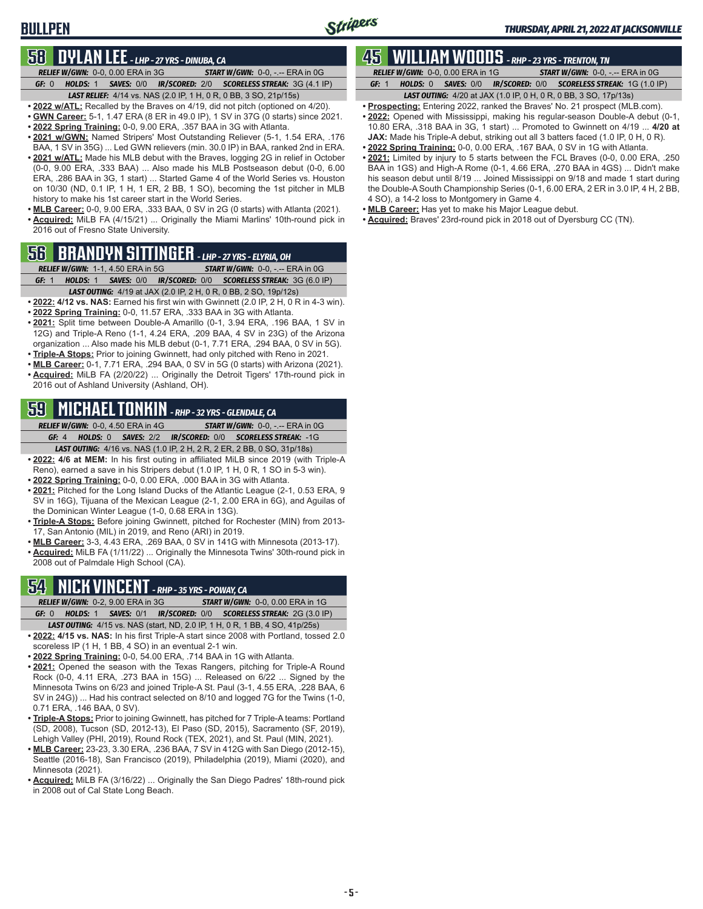## **BULLPEN**

### **58 DYLAN LEE** *- LHP - 27 YRS - DINUBA, CA*

*RELIEF W/GWN:*0-0, 0.00 ERA in 3G *START W/GWN:*0-0, -.-- ERA in 0G *GF:*0 *HOLDS:*1 *SAVES:*0/0 *IR/SCORED:*2/0 *SCORELESS STREAK:*3G (4.1 IP) *LAST RELIEF:*4/14 vs. NAS (2.0 IP, 1 H, 0 R, 0 BB, 3 SO, 21p/15s)

**• 2022 w/ATL:** Recalled by the Braves on 4/19, did not pitch (optioned on 4/20).

- **• GWN Career:** 5-1, 1.47 ERA (8 ER in 49.0 IP), 1 SV in 37G (0 starts) since 2021.
- **• 2022 Spring Training:** 0-0, 9.00 ERA, .357 BAA in 3G with Atlanta.
- **• 2021 w/GWN:** Named Stripers' Most Outstanding Reliever (5-1, 1.54 ERA, .176 BAA, 1 SV in 35G) ... Led GWN relievers (min. 30.0 IP) in BAA, ranked 2nd in ERA.
- **• 2021 w/ATL:** Made his MLB debut with the Braves, logging 2G in relief in October (0-0, 9.00 ERA, .333 BAA) ... Also made his MLB Postseason debut (0-0, 6.00 ERA, .286 BAA in 3G, 1 start) ... Started Game 4 of the World Series vs. Houston on 10/30 (ND, 0.1 IP, 1 H, 1 ER, 2 BB, 1 SO), becoming the 1st pitcher in MLB history to make his 1st career start in the World Series.
- **• MLB Career:** 0-0, 9.00 ERA, .333 BAA, 0 SV in 2G (0 starts) with Atlanta (2021). **• Acquired:** MiLB FA (4/15/21) ... Originally the Miami Marlins' 10th-round pick in 2016 out of Fresno State University.

## **56 BRANDYN SITTINGER** *- LHP - 27 YRS - ELYRIA, OH*

*RELIEF W/GWN:*1-1, 4.50 ERA in 5G *START W/GWN:*0-0, -.-- ERA in 0G *GF:*1 *HOLDS:*1 *SAVES:*0/0 *IR/SCORED:*0/0 *SCORELESS STREAK:*3G (6.0 IP)

- *LAST OUTING:*4/19 at JAX (2.0 IP, 2 H, 0 R, 0 BB, 2 SO, 19p/12s) **• 2022: 4/12 vs. NAS:** Earned his first win with Gwinnett (2.0 IP, 2 H, 0 R in 4-3 win).
- **• 2022 Spring Training:** 0-0, 11.57 ERA, .333 BAA in 3G with Atlanta.
- **• 2021:** Split time between Double-A Amarillo (0-1, 3.94 ERA, .196 BAA, 1 SV in 12G) and Triple-A Reno (1-1, 4.24 ERA, .209 BAA, 4 SV in 23G) of the Arizona organization ... Also made his MLB debut (0-1, 7.71 ERA, .294 BAA, 0 SV in 5G).
- **• Triple-A Stops:** Prior to joining Gwinnett, had only pitched with Reno in 2021.
- **• MLB Career:** 0-1, 7.71 ERA, .294 BAA, 0 SV in 5G (0 starts) with Arizona (2021). **• Acquired:** MiLB FA (2/20/22) ... Originally the Detroit Tigers' 17th-round pick in
- 2016 out of Ashland University (Ashland, OH).

## **59 MICHAEL TONKIN** *- RHP - 32 YRS - GLENDALE, CA*

*RELIEF W/GWN:*0-0, 4.50 ERA in 4G *START W/GWN:*0-0, -.-- ERA in 0G *GF:*4 *HOLDS:*0 *SAVES:*2/2 *IR/SCORED:*0/0 *SCORELESS STREAK:*-1G

*LAST OUTING:*4/16 vs. NAS (1.0 IP, 2 H, 2 R, 2 ER, 2 BB, 0 SO, 31p/18s) **• 2022: 4/6 at MEM:** In his first outing in affiliated MiLB since 2019 (with Triple-A

- Reno), earned a save in his Stripers debut (1.0 IP, 1 H, 0 R, 1 SO in 5-3 win).
- **• 2022 Spring Training:** 0-0, 0.00 ERA, .000 BAA in 3G with Atlanta.
- **• 2021:** Pitched for the Long Island Ducks of the Atlantic League (2-1, 0.53 ERA, 9 SV in 16G), Tijuana of the Mexican League (2-1, 2.00 ERA in 6G), and Aguilas of the Dominican Winter League (1-0, 0.68 ERA in 13G).
- **• Triple-A Stops:** Before joining Gwinnett, pitched for Rochester (MIN) from 2013- 17, San Antonio (MIL) in 2019, and Reno (ARI) in 2019.
- **• MLB Career:** 3-3, 4.43 ERA, .269 BAA, 0 SV in 141G with Minnesota (2013-17).
- **• Acquired:** MiLB FA (1/11/22) ... Originally the Minnesota Twins' 30th-round pick in 2008 out of Palmdale High School (CA).

## **54 NICK VINCENT** *- RHP - 35 YRS - POWAY, CA*

*RELIEF W/GWN:*0-2, 9.00 ERA in 3G *START W/GWN:*0-0, 0.00 ERA in 1G *GF:*0 *HOLDS:*1 *SAVES:*0/1 *IR/SCORED:*0/0 *SCORELESS STREAK:*2G (3.0 IP)

- *LAST OUTING:*4/15 vs. NAS (start, ND, 2.0 IP, 1 H, 0 R, 1 BB, 4 SO, 41p/25s) **• 2022: 4/15 vs. NAS:** In his first Triple-A start since 2008 with Portland, tossed 2.0
- scoreless IP (1 H, 1 BB, 4 SO) in an eventual 2-1 win. **• 2022 Spring Training:** 0-0, 54.00 ERA, .714 BAA in 1G with Atlanta.
- **• 2021:** Opened the season with the Texas Rangers, pitching for Triple-A Round Rock (0-0, 4.11 ERA, .273 BAA in 15G) ... Released on 6/22 ... Signed by the Minnesota Twins on 6/23 and joined Triple-A St. Paul (3-1, 4.55 ERA, .228 BAA, 6
- SV in 24G)) ... Had his contract selected on 8/10 and logged 7G for the Twins (1-0, 0.71 ERA, .146 BAA, 0 SV). **• Triple-A Stops:** Prior to joining Gwinnett, has pitched for 7 Triple-A teams: Portland
- (SD, 2008), Tucson (SD, 2012-13), El Paso (SD, 2015), Sacramento (SF, 2019), Lehigh Valley (PHI, 2019), Round Rock (TEX, 2021), and St. Paul (MIN, 2021).
- **• MLB Career:** 23-23, 3.30 ERA, .236 BAA, 7 SV in 412G with San Diego (2012-15), Seattle (2016-18), San Francisco (2019), Philadelphia (2019), Miami (2020), and Minnesota (2021).
- **• Acquired:** MiLB FA (3/16/22) ... Originally the San Diego Padres' 18th-round pick in 2008 out of Cal State Long Beach.

## **45 WILLIAM WOODS** *- RHP - 23 YRS - TRENTON, TN*

*RELIEF W/GWN:*0-0, 0.00 ERA in 1G *START W/GWN:*0-0, -.-- ERA in 0G *GF:*1 *HOLDS:*0 *SAVES:*0/0 *IR/SCORED:*0/0 *SCORELESS STREAK:*1G (1.0 IP)

- *LAST OUTING:*4/20 at JAX (1.0 IP, 0 H, 0 R, 0 BB, 3 SO, 17p/13s) **• Prospecting:** Entering 2022, ranked the Braves' No. 21 prospect (MLB.com).
- **• 2022:** Opened with Mississippi, making his regular-season Double-A debut (0-1, 10.80 ERA, .318 BAA in 3G, 1 start) ... Promoted to Gwinnett on 4/19 ... **4/20 at JAX:** Made his Triple-A debut, striking out all 3 batters faced (1.0 IP, 0 H, 0 R).
- **• 2022 Spring Training:** 0-0, 0.00 ERA, .167 BAA, 0 SV in 1G with Atlanta.
- **• 2021:** Limited by injury to 5 starts between the FCL Braves (0-0, 0.00 ERA, .250 BAA in 1GS) and High-A Rome (0-1, 4.66 ERA, .270 BAA in 4GS) ... Didn't make his season debut until 8/19 ... Joined Mississippi on 9/18 and made 1 start during the Double-A South Championship Series (0-1, 6.00 ERA, 2 ER in 3.0 IP, 4 H, 2 BB, 4 SO), a 14-2 loss to Montgomery in Game 4.
- **• MLB Career:** Has yet to make his Major League debut.
- **• Acquired:** Braves' 23rd-round pick in 2018 out of Dyersburg CC (TN).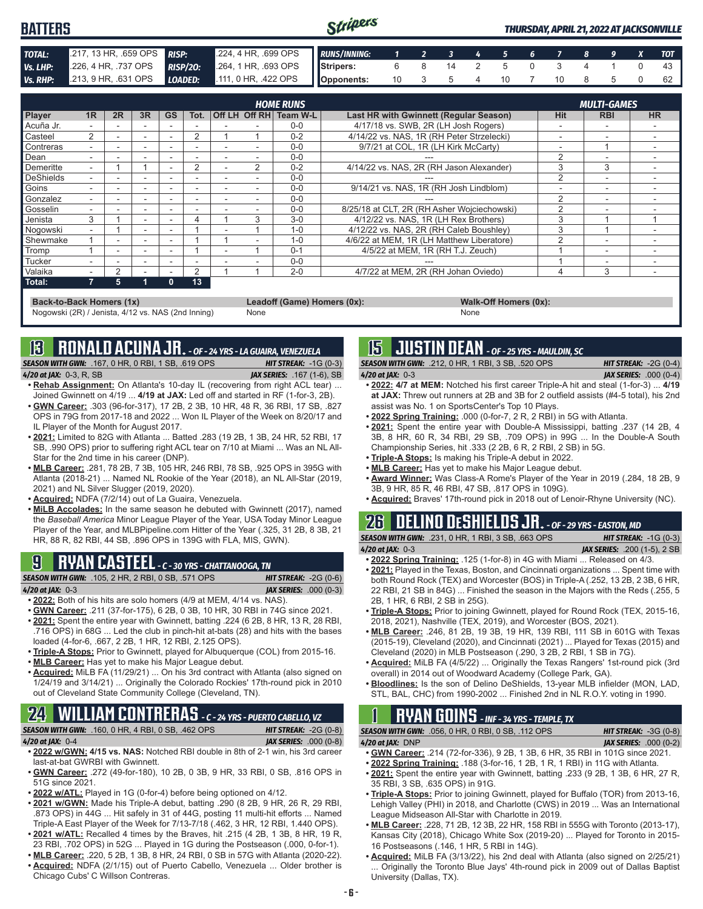| <b>BATTERS</b> |                       |                                                                                      | Stripers |  |  |  |                      |  | <b>THURSDAY, APRIL 21, 2022 AT JACKSONVILLE</b> |
|----------------|-----------------------|--------------------------------------------------------------------------------------|----------|--|--|--|----------------------|--|-------------------------------------------------|
| <b>TOTAL:</b>  |                       | 2017, 13 HR, .659 OPS RISP: 224, 4 HR, .699 OPS RUNS/INNING: 1 2 3 4 5 6 7 8 9 X TOT |          |  |  |  |                      |  |                                                 |
| Vs. LHP:       | 226, 4 HR, 737 OPS    | RISP/20: 264, 1 HR, 693 OPS Stripers:                                                |          |  |  |  | 6 8 14 2 5 0 3 4 1 0 |  |                                                 |
| Vs. RHP:       | $213, 9$ HR, .631 OPS | LOADED: 111, 0 HR, 422 OPS Opponents:                                                |          |  |  |  | 10 3 5 4 10 7 10 8 5 |  | 62 L                                            |

|                | <b>HOME RUNS</b> |    |                          |              |      |  |   |                        |                                               |                |                          | <b>MULTI-GAMES</b> |  |  |  |  |
|----------------|------------------|----|--------------------------|--------------|------|--|---|------------------------|-----------------------------------------------|----------------|--------------------------|--------------------|--|--|--|--|
| Player         | 1R               | 2R | 3R                       | <b>GS</b>    | Tot. |  |   | Off LH Off RH Team W-L | <b>Last HR with Gwinnett (Regular Season)</b> | Hit            | <b>RBI</b>               | <b>HR</b>          |  |  |  |  |
| ∎Acuña Jr.     |                  |    |                          |              |      |  |   | $0 - 0$                | 4/17/18 vs. SWB, 2R (LH Josh Rogers)          |                | $\overline{\phantom{a}}$ |                    |  |  |  |  |
| <b>Casteel</b> | 2                |    |                          |              | 2    |  |   | $0 - 2$                | 4/14/22 vs. NAS, 1R (RH Peter Strzelecki)     | ۰              |                          |                    |  |  |  |  |
| Contreras      |                  |    | $\overline{\phantom{a}}$ |              |      |  |   | $0 - 0$                | 9/7/21 at COL. 1R (LH Kirk McCarty)           |                |                          |                    |  |  |  |  |
| <b>D</b> ean   |                  |    | $\overline{\phantom{a}}$ | ۰            |      |  |   | $0 - 0$                |                                               | ◠              |                          |                    |  |  |  |  |
| Demeritte      |                  |    |                          |              | 2    |  | 2 | $0 - 2$                | 4/14/22 vs. NAS, 2R (RH Jason Alexander)      |                | 3                        |                    |  |  |  |  |
| DeShields      |                  |    |                          |              |      |  |   | $0 - 0$                |                                               | $\mathfrak{p}$ |                          |                    |  |  |  |  |
| Goins          |                  |    |                          |              |      |  |   | $0 - 0$                | 9/14/21 vs. NAS, 1R (RH Josh Lindblom)        |                |                          |                    |  |  |  |  |
| Gonzalez       |                  |    |                          | -            |      |  |   | $0 - 0$                |                                               | $\mathfrak{p}$ |                          |                    |  |  |  |  |
| Gosselin       |                  |    |                          |              |      |  |   | $0 - 0$                | 8/25/18 at CLT. 2R (RH Asher Woiciechowski)   | 2              |                          |                    |  |  |  |  |
| Jenista        | 3                |    | $\sim$                   |              | 4    |  | 3 | $3-0$                  | 4/12/22 vs. NAS, 1R (LH Rex Brothers)         | 3              |                          |                    |  |  |  |  |
| Nogowski       |                  |    | $\sim$                   | -            |      |  |   | $1 - 0$                | 4/12/22 vs. NAS, 2R (RH Caleb Boushley)       | 3              |                          |                    |  |  |  |  |
| Shewmake       |                  |    |                          |              |      |  |   | $1 - 0$                | 4/6/22 at MEM, 1R (LH Matthew Liberatore)     |                |                          |                    |  |  |  |  |
| Tromp          |                  | -  |                          |              |      |  |   | $0 - 1$                | 4/5/22 at MEM, 1R (RH T.J. Zeuch)             |                | $\overline{\phantom{a}}$ |                    |  |  |  |  |
| <b>Tucker</b>  |                  |    | $\overline{\phantom{0}}$ |              |      |  |   | $0 - 0$                |                                               |                | -                        |                    |  |  |  |  |
| Valaika        |                  | 2  |                          |              | 2    |  |   | $2 - 0$                | 4/7/22 at MEM, 2R (RH Johan Oviedo)           | 4              | 3                        | -                  |  |  |  |  |
| $\vert$ Total: |                  | 5  |                          | $\mathbf{0}$ | 13   |  |   |                        |                                               |                |                          |                    |  |  |  |  |

**Back-to-Back Homers (1x) Leadoff (Game) Homers (0x): Walk-Off Homers (0x): Walk-Off Homers (0x): None None** Nogowski (2R) / Jenista, 4/12 vs. NAS (2nd Inning)

**13 RONALD ACUNA JR.** *- OF - 24 YRS - LA GUAIRA, VENEZUELA*

*SEASON WITH GWN:*.167, 0 HR, 0 RBI, 1 SB, .619 OPS *HIT STREAK:* -1G (0-3) *4/20 at JAX:*0-3, R, SB *JAX SERIES:* .167 (1-6), SB

- **• Rehab Assignment:** On Atlanta's 10-day IL (recovering from right ACL tear) ... Joined Gwinnett on 4/19 ... **4/19 at JAX:** Led off and started in RF (1-for-3, 2B).
- **• GWN Career:** .303 (96-for-317), 17 2B, 2 3B, 10 HR, 48 R, 36 RBI, 17 SB, .827 OPS in 79G from 2017-18 and 2022 ... Won IL Player of the Week on 8/20/17 and IL Player of the Month for August 2017.
- **• 2021:** Limited to 82G with Atlanta ... Batted .283 (19 2B, 1 3B, 24 HR, 52 RBI, 17 SB, .990 OPS) prior to suffering right ACL tear on 7/10 at Miami ... Was an NL All-Star for the 2nd time in his career (DNP).
- **• MLB Career:** .281, 78 2B, 7 3B, 105 HR, 246 RBI, 78 SB, .925 OPS in 395G with Atlanta (2018-21) ... Named NL Rookie of the Year (2018), an NL All-Star (2019, 2021) and NL Silver Slugger (2019, 2020).
- **• Acquired:** NDFA (7/2/14) out of La Guaira, Venezuela.
- **• MiLB Accolades:** In the same season he debuted with Gwinnett (2017), named the *Baseball America* Minor League Player of the Year, USA Today Minor League Player of the Year, and MLBPipeline.com Hitter of the Year (.325, 31 2B, 8 3B, 21 HR, 88 R, 82 RBI, 44 SB, .896 OPS in 139G with FLA, MIS, GWN).

## **9 RYAN CASTEEL** *- C - 30 YRS - CHATTANOOGA, TN*

*SEASON WITH GWN:*.105, 2 HR, 2 RBI, 0 SB, .571 OPS *HIT STREAK:* -2G (0-6) *4/20 at JAX:*0-3 *JAX SERIES:* .000 (0-3)

- 
- **• 2022:** Both of his hits are solo homers (4/9 at MEM, 4/14 vs. NAS). **• GWN Career:** .211 (37-for-175), 6 2B, 0 3B, 10 HR, 30 RBI in 74G since 2021.
- **• 2021:** Spent the entire year with Gwinnett, batting .224 (6 2B, 8 HR, 13 R, 28 RBI, .716 OPS) in 68G ... Led the club in pinch-hit at-bats (28) and hits with the bases loaded (4-for-6, .667, 2 2B, 1 HR, 12 RBI, 2.125 OPS).
- **• Triple-A Stops:** Prior to Gwinnett, played for Albuquerque (COL) from 2015-16.
- **• MLB Career:** Has yet to make his Major League debut.
- **• Acquired:** MiLB FA (11/29/21) ... On his 3rd contract with Atlanta (also signed on 1/24/19 and 3/14/21) ... Originally the Colorado Rockies' 17th-round pick in 2010 out of Cleveland State Community College (Cleveland, TN).

# **24 WILLIAM CONTRERAS** *- C - 24 YRS - PUERTO CABELLO, VZ*

*SEASON WITH GWN:*.160, 0 HR, 4 RBI, 0 SB, .462 OPS *HIT STREAK:* -2G (0-8) *4/20 at JAX:*0-4 *JAX SERIES:* .000 (0-8)

- **• 2022 w/GWN: 4/15 vs. NAS:** Notched RBI double in 8th of 2-1 win, his 3rd career last-at-bat GWRBI with Gwinnett.
- **• GWN Career:** .272 (49-for-180), 10 2B, 0 3B, 9 HR, 33 RBI, 0 SB, .816 OPS in 51G since 2021.
- **• 2022 w/ATL:** Played in 1G (0-for-4) before being optioned on 4/12.
- **• 2021 w/GWN:** Made his Triple-A debut, batting .290 (8 2B, 9 HR, 26 R, 29 RBI, .873 OPS) in 44G ... Hit safely in 31 of 44G, posting 11 multi-hit efforts ... Named Triple-A East Player of the Week for 7/13-7/18 (.462, 3 HR, 12 RBI, 1.440 OPS). **• 2021 w/ATL:** Recalled 4 times by the Braves, hit .215 (4 2B, 1 3B, 8 HR, 19 R,
- 23 RBI, .702 OPS) in 52G ... Played in 1G during the Postseason (.000, 0-for-1). **• MLB Career:** .220, 5 2B, 1 3B, 8 HR, 24 RBI, 0 SB in 57G with Atlanta (2020-22).
- **• Acquired:** NDFA (2/1/15) out of Puerto Cabello, Venezuela ... Older brother is
- Chicago Cubs' C Willson Contreras.

## **15 JUSTIN DEAN** *- OF - 25 YRS - MAULDIN, SC*

*SEASON WITH GWN:*.212, 0 HR, 1 RBI, 3 SB, .520 OPS *HIT STREAK:* -2G (0-4) *4/20 at JAX:*0-3 *JAX SERIES:* .000 (0-4)

- **• 2022: 4/7 at MEM:** Notched his first career Triple-A hit and steal (1-for-3) ... **4/19 at JAX:** Threw out runners at 2B and 3B for 2 outfield assists (#4-5 total), his 2nd assist was No. 1 on SportsCenter's Top 10 Plays.
- **• 2022 Spring Training:** .000 (0-for-7, 2 R, 2 RBI) in 5G with Atlanta.
- **• 2021:** Spent the entire year with Double-A Mississippi, batting .237 (14 2B, 4 3B, 8 HR, 60 R, 34 RBI, 29 SB, .709 OPS) in 99G ... In the Double-A South Championship Series, hit .333 (2 2B, 6 R, 2 RBI, 2 SB) in 5G.
- **• Triple-A Stops:** Is making his Triple-A debut in 2022.
- **• MLB Career:** Has yet to make his Major League debut.
- **• Award Winner:** Was Class-A Rome's Player of the Year in 2019 (.284, 18 2B, 9 3B, 9 HR, 85 R, 46 RBI, 47 SB, .817 OPS in 109G).
- **• Acquired:** Braves' 17th-round pick in 2018 out of Lenoir-Rhyne University (NC).

## **26 DELINO DESHIELDS JR.** *- OF - 29 YRS - EASTON, MD*

*SEASON WITH GWN:*.231, 0 HR, 1 RBI, 3 SB, .663 OPS *HIT STREAK:* -1G (0-3) *4/20 at JAX:*0-3 *JAX SERIES:* .200 (1-5), 2 SB

- **• 2022 Spring Training:** .125 (1-for-8) in 4G with Miami ... Released on 4/3. **• 2021:** Played in the Texas, Boston, and Cincinnati organizations ... Spent time with both Round Rock (TEX) and Worcester (BOS) in Triple-A (.252, 13 2B, 2 3B, 6 HR,
- 22 RBI, 21 SB in 84G) ... Finished the season in the Majors with the Reds (.255, 5 2B, 1 HR, 6 RBI, 2 SB in 25G). **• Triple-A Stops:** Prior to joining Gwinnett, played for Round Rock (TEX, 2015-16,
- 2018, 2021), Nashville (TEX, 2019), and Worcester (BOS, 2021).
- **• MLB Career:** .246, 81 2B, 19 3B, 19 HR, 139 RBI, 111 SB in 601G with Texas (2015-19), Cleveland (2020), and Cincinnati (2021) ... Played for Texas (2015) and Cleveland (2020) in MLB Postseason (.290, 3 2B, 2 RBI, 1 SB in 7G).
- **• Acquired:** MiLB FA (4/5/22) ... Originally the Texas Rangers' 1st-round pick (3rd overall) in 2014 out of Woodward Academy (College Park, GA).
- **• Bloodlines:** Is the son of Delino DeShields, 13-year MLB infielder (MON, LAD, STL, BAL, CHC) from 1990-2002 ... Finished 2nd in NL R.O.Y. voting in 1990.

## **1 RYAN GOINS** *- INF - 34 YRS - TEMPLE, TX*

*SEASON WITH GWN:*.056, 0 HR, 0 RBI, 0 SB, .112 OPS *HIT STREAK:* -3G (0-8) *4/20 at JAX:*DNP *JAX SERIES:* .000 (0-2)

- **• GWN Career:** .214 (72-for-336), 9 2B, 1 3B, 6 HR, 35 RBI in 101G since 2021.
- **• 2022 Spring Training:** .188 (3-for-16, 1 2B, 1 R, 1 RBI) in 11G with Atlanta.
- **• 2021:** Spent the entire year with Gwinnett, batting .233 (9 2B, 1 3B, 6 HR, 27 R, 35 RBI, 3 SB, .635 OPS) in 91G.
- **• Triple-A Stops:** Prior to joining Gwinnett, played for Buffalo (TOR) from 2013-16, Lehigh Valley (PHI) in 2018, and Charlotte (CWS) in 2019 ... Was an International League Midseason All-Star with Charlotte in 2019.
- **• MLB Career:** .228, 71 2B, 12 3B, 22 HR, 158 RBI in 555G with Toronto (2013-17), Kansas City (2018), Chicago White Sox (2019-20) ... Played for Toronto in 2015- 16 Postseasons (.146, 1 HR, 5 RBI in 14G).
- **• Acquired:** MiLB FA (3/13/22), his 2nd deal with Atlanta (also signed on 2/25/21) ... Originally the Toronto Blue Jays' 4th-round pick in 2009 out of Dallas Baptist University (Dallas, TX).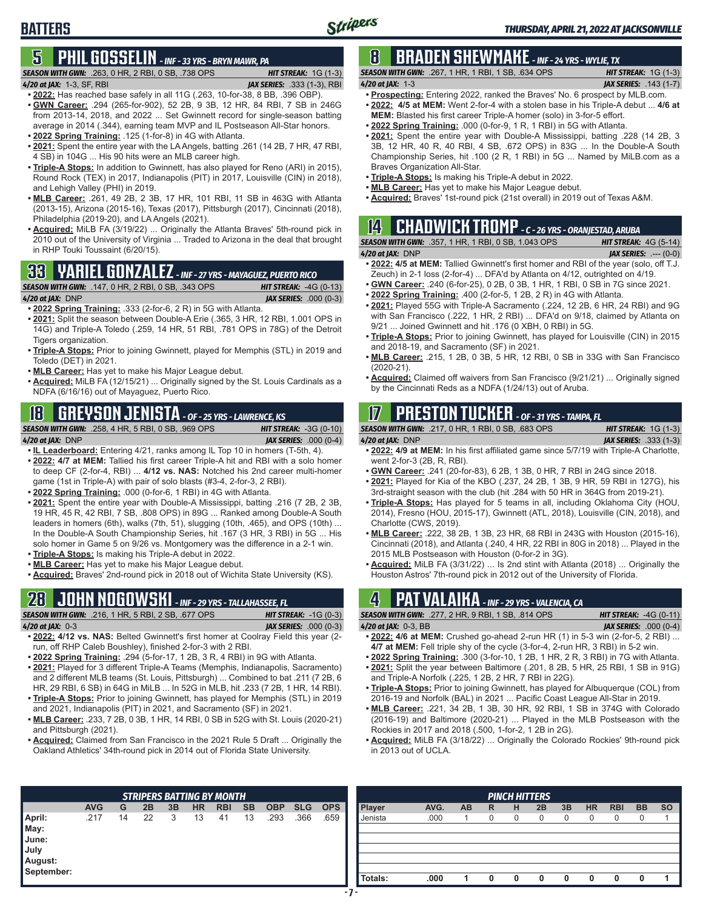## **5 PHIL GOSSELIN** *- INF - 33 YRS - BRYN MAWR, PA*

*SEASON WITH GWN:*.263, 0 HR, 2 RBI, 0 SB, .738 OPS *HIT STREAK:* 1G (1-3)

- *4/20 at JAX:*1-3, SF, RBI *JAX SERIES:* .333 (1-3), RBI **• 2022:** Has reached base safely in all 11G (.263, 10-for-38, 8 BB, .396 OBP).
- **• GWN Career:** .294 (265-for-902), 52 2B, 9 3B, 12 HR, 84 RBI, 7 SB in 246G from 2013-14, 2018, and 2022 ... Set Gwinnett record for single-season batting average in 2014 (.344), earning team MVP and IL Postseason All-Star honors. **• 2022 Spring Training:** .125 (1-for-8) in 4G with Atlanta.
- **• 2021:** Spent the entire year with the LA Angels, batting .261 (14 2B, 7 HR, 47 RBI, 4 SB) in 104G ... His 90 hits were an MLB career high.
- **• Triple-A Stops:** In addition to Gwinnett, has also played for Reno (ARI) in 2015), Round Rock (TEX) in 2017, Indianapolis (PIT) in 2017, Louisville (CIN) in 2018), and Lehigh Valley (PHI) in 2019.
- **• MLB Career:** .261, 49 2B, 2 3B, 17 HR, 101 RBI, 11 SB in 463G with Atlanta (2013-15), Arizona (2015-16), Texas (2017), Pittsburgh (2017), Cincinnati (2018), Philadelphia (2019-20), and LA Angels (2021).
- **• Acquired:** MiLB FA (3/19/22) ... Originally the Atlanta Braves' 5th-round pick in 2010 out of the University of Virginia ... Traded to Arizona in the deal that brought in RHP Touki Toussaint (6/20/15).

## **33 YARIEL GONZALEZ** *- INF - 27 YRS - MAYAGUEZ, PUERTO RICO*

#### *SEASON WITH GWN:*.147, 0 HR, 2 RBI, 0 SB, .343 OPS *HIT STREAK:* -4G (0-13)

**BATTERS**

*4/20 at JAX:*DNP *JAX SERIES:* .000 (0-3)

- **• 2022 Spring Training:** .333 (2-for-6, 2 R) in 5G with Atlanta. **• 2021:** Split the season between Double-A Erie (.365, 3 HR, 12 RBI, 1.001 OPS in 14G) and Triple-A Toledo (.259, 14 HR, 51 RBI, .781 OPS in 78G) of the Detroit Tigers organization.
- **• Triple-A Stops:** Prior to joining Gwinnett, played for Memphis (STL) in 2019 and Toledo (DET) in 2021.
- **• MLB Career:** Has yet to make his Major League debut.
- **• Acquired:** MiLB FA (12/15/21) ... Originally signed by the St. Louis Cardinals as a NDFA (6/16/16) out of Mayaguez, Puerto Rico.

## **18 GREYSON JENISTA** *- OF - 25 YRS - LAWRENCE, KS*

*SEASON WITH GWN:*.258, 4 HR, 5 RBI, 0 SB, .969 OPS *HIT STREAK:* -3G (0-10) *4/20 at JAX:*DNP *JAX SERIES:* .000 (0-4)

- **• IL Leaderboard:** Entering 4/21, ranks among IL Top 10 in homers (T-5th, 4).
- **• 2022: 4/7 at MEM:** Tallied his first career Triple-A hit and RBI with a solo homer to deep CF (2-for-4, RBI) ... **4/12 vs. NAS:** Notched his 2nd career multi-homer game (1st in Triple-A) with pair of solo blasts (#3-4, 2-for-3, 2 RBI).
- **• 2022 Spring Training:** .000 (0-for-6, 1 RBI) in 4G with Atlanta.
- **• 2021:** Spent the entire year with Double-A Mississippi, batting .216 (7 2B, 2 3B, 19 HR, 45 R, 42 RBI, 7 SB, .808 OPS) in 89G ... Ranked among Double-A South leaders in homers (6th), walks (7th, 51), slugging (10th, .465), and OPS (10th) ... In the Double-A South Championship Series, hit .167 (3 HR, 3 RBI) in 5G ... His solo homer in Game 5 on 9/26 vs. Montgomery was the difference in a 2-1 win.
- **• Triple-A Stops:** Is making his Triple-A debut in 2022. **• MLB Career:** Has yet to make his Major League debut.
- **• Acquired:** Braves' 2nd-round pick in 2018 out of Wichita State University (KS).

## **28 JOHN NOGOWSKI** *- INF - 29 YRS - TALLAHASSEE, FL*

*SEASON WITH GWN:*.216, 1 HR, 5 RBI, 2 SB, .677 OPS *HIT STREAK:* -1G (0-3) *4/20 at JAX:*0-3 *JAX SERIES:* .000 (0-3)

- **• 2022: 4/12 vs. NAS:** Belted Gwinnett's first homer at Coolray Field this year (2 run, off RHP Caleb Boushley), finished 2-for-3 with 2 RBI.
- **• 2022 Spring Training:** .294 (5-for-17, 1 2B, 3 R, 4 RBI) in 9G with Atlanta.
- **• 2021:** Played for 3 different Triple-A Teams (Memphis, Indianapolis, Sacramento) and 2 different MLB teams (St. Louis, Pittsburgh) ... Combined to bat .211 (7 2B, 6 HR, 29 RBI, 6 SB) in 64G in MiLB ... In 52G in MLB, hit .233 (7 2B, 1 HR, 14 RBI).
- **• Triple-A Stops:** Prior to joining Gwinnett, has played for Memphis (STL) in 2019 and 2021, Indianapolis (PIT) in 2021, and Sacramento (SF) in 2021.
- **• MLB Career:** .233, 7 2B, 0 3B, 1 HR, 14 RBI, 0 SB in 52G with St. Louis (2020-21) and Pittsburgh (2021).
- **• Acquired:** Claimed from San Francisco in the 2021 Rule 5 Draft ... Originally the Oakland Athletics' 34th-round pick in 2014 out of Florida State University.

### **8 BRADEN SHEWMAKE** *- INF - 24 YRS - WYLIE, TX SEASON WITH GWN:*.267, 1 HR, 1 RBI, 1 SB, .634 OPS *HIT STREAK:* 1G (1-3)

- *4/20 at JAX:*1-3 *JAX SERIES:* .143 (1-7) **• Prospecting:** Entering 2022, ranked the Braves' No. 6 prospect by MLB.com. **• 2022: 4/5 at MEM:** Went 2-for-4 with a stolen base in his Triple-A debut ... **4/6 at**
- **MEM:** Blasted his first career Triple-A homer (solo) in 3-for-5 effort.
- **• 2022 Spring Training:** .000 (0-for-9, 1 R, 1 RBI) in 5G with Atlanta.
- **• 2021:** Spent the entire year with Double-A Mississippi, batting .228 (14 2B, 3 3B, 12 HR, 40 R, 40 RBI, 4 SB, .672 OPS) in 83G ... In the Double-A South Championship Series, hit .100 (2 R, 1 RBI) in 5G ... Named by MiLB.com as a Braves Organization All-Star.
- **• Triple-A Stops:** Is making his Triple-A debut in 2022.
- **• MLB Career:** Has yet to make his Major League debut.
- **• Acquired:** Braves' 1st-round pick (21st overall) in 2019 out of Texas A&M.

| $[2]$ <b>CHADWICK TROMP</b> - $c$ - 26 YRS - ORANJESTAD, ARUBA |                               |
|----------------------------------------------------------------|-------------------------------|
| <b>SEASON WITH GWN:</b> .357. 1 HR. 1 RBI. 0 SB. 1.043 OPS     | <b>HIT STREAK:</b> $4G(5-14)$ |

*4/20 at JAX:*DNP *JAX SERIES:* .--- (0-0) **• 2022: 4/5 at MEM:** Tallied Gwinnett's first homer and RBI of the year (solo, off T.J. Zeuch) in 2-1 loss (2-for-4) ... DFA'd by Atlanta on 4/12, outrighted on 4/19.

- **• GWN Career:** .240 (6-for-25), 0 2B, 0 3B, 1 HR, 1 RBI, 0 SB in 7G since 2021.
- **• 2022 Spring Training:** .400 (2-for-5, 1 2B, 2 R) in 4G with Atlanta.
- **• 2021:** Played 55G with Triple-A Sacramento (.224, 12 2B, 6 HR, 24 RBI) and 9G with San Francisco (.222, 1 HR, 2 RBI) ... DFA'd on 9/18, claimed by Atlanta on 9/21 ... Joined Gwinnett and hit .176 (0 XBH, 0 RBI) in 5G.
- **• Triple-A Stops:** Prior to joining Gwinnett, has played for Louisville (CIN) in 2015 and 2018-19, and Sacramento (SF) in 2021.
- **• MLB Career:** .215, 1 2B, 0 3B, 5 HR, 12 RBI, 0 SB in 33G with San Francisco (2020-21).
- **• Acquired:** Claimed off waivers from San Francisco (9/21/21) ... Originally signed by the Cincinnati Reds as a NDFA (1/24/13) out of Aruba.

## **17 PRESTON TUCKER** *- OF - 31 YRS - TAMPA, FL*

*SEASON WITH GWN:*.217, 0 HR, 1 RBI, 0 SB, .683 OPS *HIT STREAK:* 1G (1-3)

*4/20 at JAX:*DNP *JAX SERIES:* .333 (1-3)

- **• 2022: 4/9 at MEM:** In his first affiliated game since 5/7/19 with Triple-A Charlotte, went 2-for-3 (2B, R, RBI).
- **• GWN Career:** .241 (20-for-83), 6 2B, 1 3B, 0 HR, 7 RBI in 24G since 2018. **• 2021:** Played for Kia of the KBO (.237, 24 2B, 1 3B, 9 HR, 59 RBI in 127G), his
- 3rd-straight season with the club (hit .284 with 50 HR in 364G from 2019-21).
- **• Triple-A Stops:** Has played for 5 teams in all, including Oklahoma City (HOU, 2014), Fresno (HOU, 2015-17), Gwinnett (ATL, 2018), Louisville (CIN, 2018), and Charlotte (CWS, 2019).
- **• MLB Career:** .222, 38 2B, 1 3B, 23 HR, 68 RBI in 243G with Houston (2015-16), Cincinnati (2018), and Atlanta (.240, 4 HR, 22 RBI in 80G in 2018) ... Played in the 2015 MLB Postseason with Houston (0-for-2 in 3G).
- **• Acquired:** MiLB FA (3/31/22) ... Is 2nd stint with Atlanta (2018) ... Originally the Houston Astros' 7th-round pick in 2012 out of the University of Florida.

## **4 PAT VALAIKA** *- INF - 29 YRS - VALENCIA, CA*

| <b>SEASON WITH GWN:</b> .277. 2 HR. 9 RBI. 1 SB. .814 OPS | <b>HIT STREAK:</b> $-4G$ (0-11) |
|-----------------------------------------------------------|---------------------------------|
| 4/20 at JAX: 0-3, BB                                      | <b>JAX SERIES:</b> $.000(0-4)$  |
|                                                           |                                 |

- **• 2022: 4/6 at MEM:** Crushed go-ahead 2-run HR (1) in 5-3 win (2-for-5, 2 RBI) ... **4/7 at MEM:** Fell triple shy of the cycle (3-for-4, 2-run HR, 3 RBI) in 5-2 win.
- **• 2022 Spring Training:** .300 (3-for-10, 1 2B, 1 HR, 2 R, 3 RBI) in 7G with Atlanta.
- **• 2021:** Split the year between Baltimore (.201, 8 2B, 5 HR, 25 RBI, 1 SB in 91G) and Triple-A Norfolk (.225, 1 2B, 2 HR, 7 RBI in 22G).
- **• Triple-A Stops:** Prior to joining Gwinnett, has played for Albuquerque (COL) from 2016-19 and Norfolk (BAL) in 2021 ... Pacific Coast League All-Star in 2019.
- **• MLB Career:** .221, 34 2B, 1 3B, 30 HR, 92 RBI, 1 SB in 374G with Colorado (2016-19) and Baltimore (2020-21) ... Played in the MLB Postseason with the Rockies in 2017 and 2018 (.500, 1-for-2, 1 2B in 2G).
- **• Acquired:** MiLB FA (3/18/22) ... Originally the Colorado Rockies' 9th-round pick in 2013 out of UCLA.

| <b>STRIPERS BATTING BY MONTH</b> |            |    |    |    |           |            |           |            |            |            |         | <b>PINCH HITTERS</b> |    |   |   |    |    |           |            |           |           |
|----------------------------------|------------|----|----|----|-----------|------------|-----------|------------|------------|------------|---------|----------------------|----|---|---|----|----|-----------|------------|-----------|-----------|
|                                  | <b>AVG</b> | G  | 2B | 3B | <b>HR</b> | <b>RBI</b> | <b>SB</b> | <b>OBP</b> | <b>SLG</b> | <b>OPS</b> | Player  | AVG.                 | AB | R | н | 2B | 3B | <b>HR</b> | <b>RBI</b> | <b>BB</b> | <b>SO</b> |
| April:                           | .217       | 14 | 22 | 3  | 13        | 41         | 13        | .293       | .366       | .659       | Jenista | .000                 |    |   |   |    |    |           |            |           |           |
| May:                             |            |    |    |    |           |            |           |            |            |            |         |                      |    |   |   |    |    |           |            |           |           |
| June:                            |            |    |    |    |           |            |           |            |            |            |         |                      |    |   |   |    |    |           |            |           |           |
| July                             |            |    |    |    |           |            |           |            |            |            |         |                      |    |   |   |    |    |           |            |           |           |
| August:                          |            |    |    |    |           |            |           |            |            |            |         |                      |    |   |   |    |    |           |            |           |           |
| September:                       |            |    |    |    |           |            |           |            |            |            |         |                      |    |   |   |    |    |           |            |           |           |
|                                  |            |    |    |    |           |            |           |            |            |            | Totals: | .000                 |    |   |   |    |    |           | 0          |           |           |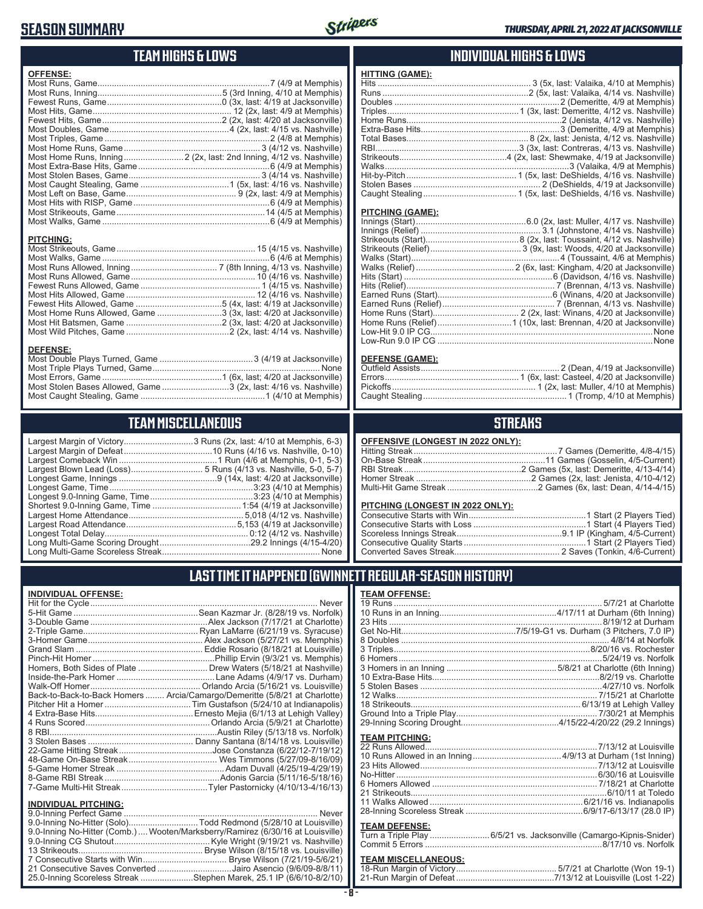## **SEASON SUMMARY**



### **TEAM HIGHS & LOWS**

| <b>OFFENSE:</b> |                                                                     |
|-----------------|---------------------------------------------------------------------|
|                 |                                                                     |
|                 |                                                                     |
|                 |                                                                     |
|                 |                                                                     |
|                 |                                                                     |
|                 |                                                                     |
|                 |                                                                     |
|                 |                                                                     |
|                 | Most Home Runs, Inning 2 (2x, last: 2nd Inning, 4/12 vs. Nashville) |
|                 |                                                                     |
|                 |                                                                     |
|                 |                                                                     |
|                 |                                                                     |
|                 |                                                                     |
|                 |                                                                     |
|                 |                                                                     |
| DITOUINO.       |                                                                     |

### **INDIVIDUAL HIGHS & LOWS**

#### **PITCHING (GAME):**

**HITTING (GAME):**

| None |
|------|
|      |
|      |

#### **DEFENSE (GAME):**

### **STREAKS**

|  |  | OFFENSIVE (LONGEST IN 2022 ONLY): |
|--|--|-----------------------------------|
|--|--|-----------------------------------|

#### **PITCHING (LONGEST IN 2022 ONLY):**

### **LAST TIME IT HAPPENED (GWINNETT REGULAR-SEASON HISTORY)**

### **TEAM OFFENSE:**

|                       | 12 Walks…………………………………………………………………………7/15/21 at Charlotte            |
|-----------------------|---------------------------------------------------------------------|
|                       |                                                                     |
|                       |                                                                     |
|                       |                                                                     |
| <b>TEAM PITCHING:</b> |                                                                     |
|                       |                                                                     |
|                       |                                                                     |
|                       |                                                                     |
|                       |                                                                     |
|                       |                                                                     |
|                       |                                                                     |
|                       |                                                                     |
|                       |                                                                     |
|                       |                                                                     |
| <b>TEAM DEFENSE:</b>  |                                                                     |
|                       | Turn a Triple Play  6/5/21 vs. Jacksonville (Camargo-Kipnis-Snider) |
|                       |                                                                     |
|                       |                                                                     |

### **TEAM MISCELLANEOUS:**

| 21-Run Margin of Defeat…………………………………7/13/12 at Louisville (Lost 1-22) |  |
|-----------------------------------------------------------------------|--|

| <b>PITCHING:</b>                                                  |  |
|-------------------------------------------------------------------|--|
|                                                                   |  |
|                                                                   |  |
|                                                                   |  |
| Most Runs Allowed, Game……………………………………………… 10 (4/16 vs. Nashville) |  |
|                                                                   |  |
|                                                                   |  |
| Fewest Hits Allowed, Game 5 (4x, last: 4/19 at Jacksonville)      |  |
| Most Home Runs Allowed, Game 3 (3x, last: 4/20 at Jacksonville)   |  |
|                                                                   |  |
|                                                                   |  |
|                                                                   |  |
| <u>REFENAE.</u>                                                   |  |

#### **DEFENSE:**

| Most Stolen Bases Allowed, Game3 (2x, last: 4/16 vs. Nashville) |  |
|-----------------------------------------------------------------|--|
|                                                                 |  |

## **TEAM MISCELLANEOUS**

|                                  | . 5,153 (4/19 at Jacksonville) |
|----------------------------------|--------------------------------|
|                                  |                                |
|                                  |                                |
| Long Multi-Game Scoreless Streak | None                           |

Largest Comeback Win .........................................1 Run (4/6 at Memphis, 0-1, 5-3) Largest Blown Lead (Loss).............................. 5 Runs (4/13 vs. Nashville, 5-0, 5-7) .................9 (14x, last: 4/20 at Jacksonville) Longest Game, Time ............................................................3:23 (4/10 at Memphis) Largest Home Attendance ................................................ 5,018 (4/12 vs. Nashville) Largest Road Attendance ..............................................5,153 (4/19 at Jacksonville) Longest Total Delay............................................................ 0:12 (4/12 vs. Nashville) Long Multi-Game Scoring Drought ......................................29.2 Innings (4/15-4/20)

### **INDIVIDUAL OFFENSE:**

| Homers, Both Sides of Plate  Drew Waters (5/18/21 at Nashville)            |
|----------------------------------------------------------------------------|
|                                                                            |
|                                                                            |
| Back-to-Back-to-Back Homers  Arcia/Camargo/Demeritte (5/8/21 at Charlotte) |
|                                                                            |
|                                                                            |
|                                                                            |
|                                                                            |
|                                                                            |
|                                                                            |
|                                                                            |
|                                                                            |
|                                                                            |
|                                                                            |
|                                                                            |

### **INDIVIDUAL PITCHING:**

| 9.0-Inning No-Hitter (Solo)Todd Redmond (5/28/10 at Louisville)                |
|--------------------------------------------------------------------------------|
| 9.0-Inning No-Hitter (Comb.) Wooten/Marksberry/Ramirez (6/30/16 at Louisville) |
|                                                                                |
|                                                                                |
|                                                                                |
| 21 Consecutive Saves Converted Jairo Asencio (9/6/09-8/8/11)                   |
| 25.0-Inning Scoreless Streak Stephen Marek, 25.1 IP (6/6/10-8/2/10)            |